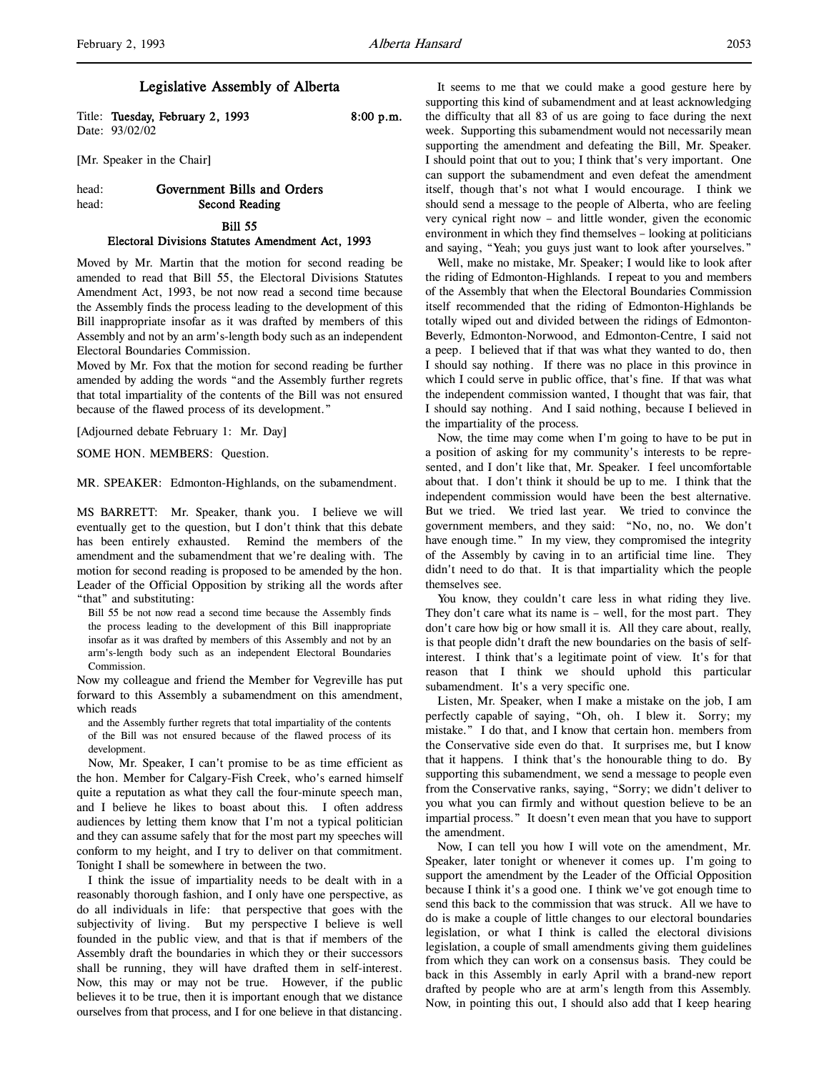l,

# Legislative Assembly of Alberta

Title: Tuesday, February 2, 1993 8:00 p.m. Date: 93/02/02

[Mr. Speaker in the Chair]

# head: Government Bills and Orders head: Second Reading Bill 55

# Electoral Divisions Statutes Amendment Act, 1993

Moved by Mr. Martin that the motion for second reading be amended to read that Bill 55, the Electoral Divisions Statutes Amendment Act, 1993, be not now read a second time because the Assembly finds the process leading to the development of this Bill inappropriate insofar as it was drafted by members of this Assembly and not by an arm's-length body such as an independent Electoral Boundaries Commission.

Moved by Mr. Fox that the motion for second reading be further amended by adding the words "and the Assembly further regrets that total impartiality of the contents of the Bill was not ensured because of the flawed process of its development."

[Adjourned debate February 1: Mr. Day]

SOME HON. MEMBERS: Question.

MR. SPEAKER: Edmonton-Highlands, on the subamendment.

MS BARRETT: Mr. Speaker, thank you. I believe we will eventually get to the question, but I don't think that this debate has been entirely exhausted. Remind the members of the amendment and the subamendment that we're dealing with. The motion for second reading is proposed to be amended by the hon. Leader of the Official Opposition by striking all the words after "that" and substituting:

Bill 55 be not now read a second time because the Assembly finds the process leading to the development of this Bill inappropriate insofar as it was drafted by members of this Assembly and not by an arm's-length body such as an independent Electoral Boundaries Commission.

Now my colleague and friend the Member for Vegreville has put forward to this Assembly a subamendment on this amendment, which reads

and the Assembly further regrets that total impartiality of the contents of the Bill was not ensured because of the flawed process of its development.

Now, Mr. Speaker, I can't promise to be as time efficient as the hon. Member for Calgary-Fish Creek, who's earned himself quite a reputation as what they call the four-minute speech man, and I believe he likes to boast about this. I often address audiences by letting them know that I'm not a typical politician and they can assume safely that for the most part my speeches will conform to my height, and I try to deliver on that commitment. Tonight I shall be somewhere in between the two.

I think the issue of impartiality needs to be dealt with in a reasonably thorough fashion, and I only have one perspective, as do all individuals in life: that perspective that goes with the subjectivity of living. But my perspective I believe is well founded in the public view, and that is that if members of the Assembly draft the boundaries in which they or their successors shall be running, they will have drafted them in self-interest. Now, this may or may not be true. However, if the public believes it to be true, then it is important enough that we distance ourselves from that process, and I for one believe in that distancing.

It seems to me that we could make a good gesture here by supporting this kind of subamendment and at least acknowledging the difficulty that all 83 of us are going to face during the next week. Supporting this subamendment would not necessarily mean supporting the amendment and defeating the Bill, Mr. Speaker. I should point that out to you; I think that's very important. One can support the subamendment and even defeat the amendment itself, though that's not what I would encourage. I think we should send a message to the people of Alberta, who are feeling very cynical right now – and little wonder, given the economic environment in which they find themselves – looking at politicians and saying, "Yeah; you guys just want to look after yourselves."

Well, make no mistake, Mr. Speaker; I would like to look after the riding of Edmonton-Highlands. I repeat to you and members of the Assembly that when the Electoral Boundaries Commission itself recommended that the riding of Edmonton-Highlands be totally wiped out and divided between the ridings of Edmonton-Beverly, Edmonton-Norwood, and Edmonton-Centre, I said not a peep. I believed that if that was what they wanted to do, then I should say nothing. If there was no place in this province in which I could serve in public office, that's fine. If that was what the independent commission wanted, I thought that was fair, that I should say nothing. And I said nothing, because I believed in the impartiality of the process.

Now, the time may come when I'm going to have to be put in a position of asking for my community's interests to be represented, and I don't like that, Mr. Speaker. I feel uncomfortable about that. I don't think it should be up to me. I think that the independent commission would have been the best alternative. But we tried. We tried last year. We tried to convince the government members, and they said: "No, no, no. We don't have enough time." In my view, they compromised the integrity of the Assembly by caving in to an artificial time line. They didn't need to do that. It is that impartiality which the people themselves see.

You know, they couldn't care less in what riding they live. They don't care what its name is – well, for the most part. They don't care how big or how small it is. All they care about, really, is that people didn't draft the new boundaries on the basis of selfinterest. I think that's a legitimate point of view. It's for that reason that I think we should uphold this particular subamendment. It's a very specific one.

Listen, Mr. Speaker, when I make a mistake on the job, I am perfectly capable of saying, "Oh, oh. I blew it. Sorry; my mistake." I do that, and I know that certain hon. members from the Conservative side even do that. It surprises me, but I know that it happens. I think that's the honourable thing to do. By supporting this subamendment, we send a message to people even from the Conservative ranks, saying, "Sorry; we didn't deliver to you what you can firmly and without question believe to be an impartial process." It doesn't even mean that you have to support the amendment.

Now, I can tell you how I will vote on the amendment, Mr. Speaker, later tonight or whenever it comes up. I'm going to support the amendment by the Leader of the Official Opposition because I think it's a good one. I think we've got enough time to send this back to the commission that was struck. All we have to do is make a couple of little changes to our electoral boundaries legislation, or what I think is called the electoral divisions legislation, a couple of small amendments giving them guidelines from which they can work on a consensus basis. They could be back in this Assembly in early April with a brand-new report drafted by people who are at arm's length from this Assembly. Now, in pointing this out, I should also add that I keep hearing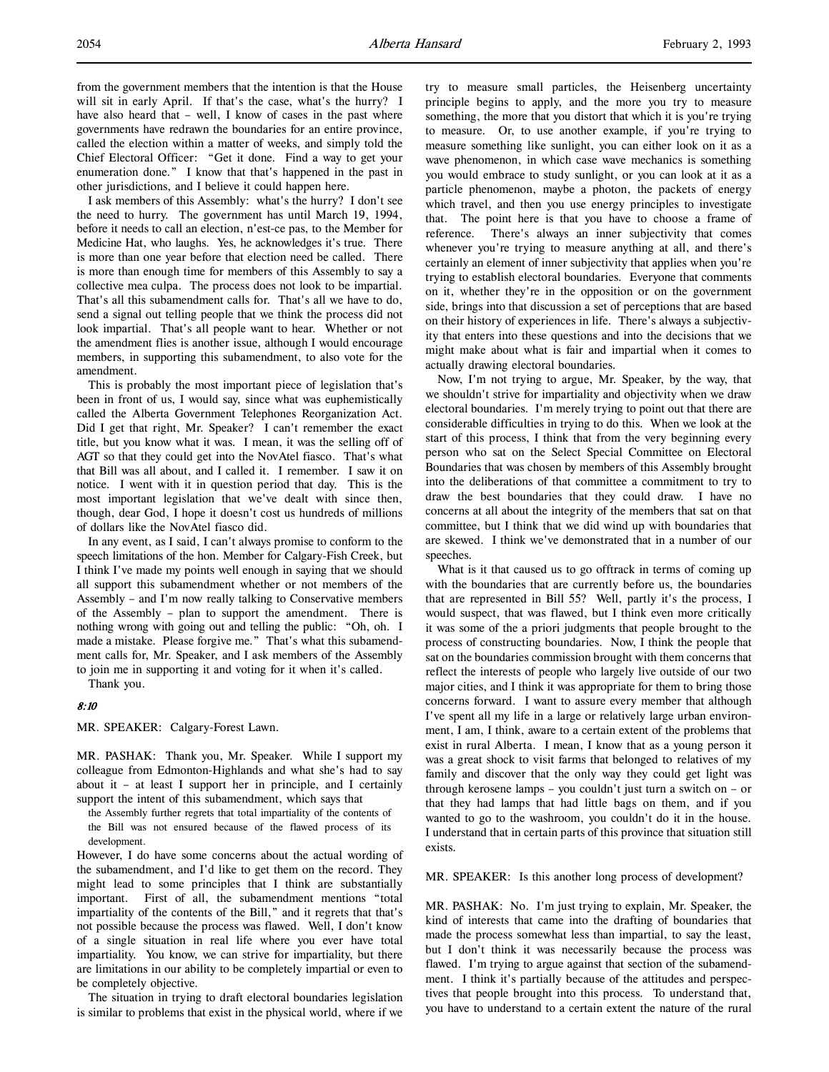from the government members that the intention is that the House will sit in early April. If that's the case, what's the hurry? I have also heard that – well, I know of cases in the past where governments have redrawn the boundaries for an entire province, called the election within a matter of weeks, and simply told the Chief Electoral Officer: "Get it done. Find a way to get your enumeration done." I know that that's happened in the past in other jurisdictions, and I believe it could happen here.

I ask members of this Assembly: what's the hurry? I don't see the need to hurry. The government has until March 19, 1994, before it needs to call an election, n'est-ce pas, to the Member for Medicine Hat, who laughs. Yes, he acknowledges it's true. There is more than one year before that election need be called. There is more than enough time for members of this Assembly to say a collective mea culpa. The process does not look to be impartial. That's all this subamendment calls for. That's all we have to do, send a signal out telling people that we think the process did not look impartial. That's all people want to hear. Whether or not the amendment flies is another issue, although I would encourage members, in supporting this subamendment, to also vote for the amendment.

This is probably the most important piece of legislation that's been in front of us, I would say, since what was euphemistically called the Alberta Government Telephones Reorganization Act. Did I get that right, Mr. Speaker? I can't remember the exact title, but you know what it was. I mean, it was the selling off of AGT so that they could get into the NovAtel fiasco. That's what that Bill was all about, and I called it. I remember. I saw it on notice. I went with it in question period that day. This is the most important legislation that we've dealt with since then, though, dear God, I hope it doesn't cost us hundreds of millions of dollars like the NovAtel fiasco did.

In any event, as I said, I can't always promise to conform to the speech limitations of the hon. Member for Calgary-Fish Creek, but I think I've made my points well enough in saying that we should all support this subamendment whether or not members of the Assembly – and I'm now really talking to Conservative members of the Assembly – plan to support the amendment. There is nothing wrong with going out and telling the public: "Oh, oh. I made a mistake. Please forgive me." That's what this subamendment calls for, Mr. Speaker, and I ask members of the Assembly to join me in supporting it and voting for it when it's called.

Thank you.

# 8:10

MR. SPEAKER: Calgary-Forest Lawn.

MR. PASHAK: Thank you, Mr. Speaker. While I support my colleague from Edmonton-Highlands and what she's had to say about it – at least I support her in principle, and I certainly support the intent of this subamendment, which says that

the Assembly further regrets that total impartiality of the contents of the Bill was not ensured because of the flawed process of its development.

However, I do have some concerns about the actual wording of the subamendment, and I'd like to get them on the record. They might lead to some principles that I think are substantially important. First of all, the subamendment mentions "total impartiality of the contents of the Bill," and it regrets that that's not possible because the process was flawed. Well, I don't know of a single situation in real life where you ever have total impartiality. You know, we can strive for impartiality, but there are limitations in our ability to be completely impartial or even to be completely objective.

The situation in trying to draft electoral boundaries legislation is similar to problems that exist in the physical world, where if we

try to measure small particles, the Heisenberg uncertainty principle begins to apply, and the more you try to measure something, the more that you distort that which it is you're trying to measure. Or, to use another example, if you're trying to measure something like sunlight, you can either look on it as a wave phenomenon, in which case wave mechanics is something you would embrace to study sunlight, or you can look at it as a particle phenomenon, maybe a photon, the packets of energy which travel, and then you use energy principles to investigate that. The point here is that you have to choose a frame of reference. There's always an inner subjectivity that comes whenever you're trying to measure anything at all, and there's certainly an element of inner subjectivity that applies when you're trying to establish electoral boundaries. Everyone that comments on it, whether they're in the opposition or on the government side, brings into that discussion a set of perceptions that are based on their history of experiences in life. There's always a subjectivity that enters into these questions and into the decisions that we might make about what is fair and impartial when it comes to actually drawing electoral boundaries.

Now, I'm not trying to argue, Mr. Speaker, by the way, that we shouldn't strive for impartiality and objectivity when we draw electoral boundaries. I'm merely trying to point out that there are considerable difficulties in trying to do this. When we look at the start of this process, I think that from the very beginning every person who sat on the Select Special Committee on Electoral Boundaries that was chosen by members of this Assembly brought into the deliberations of that committee a commitment to try to draw the best boundaries that they could draw. I have no concerns at all about the integrity of the members that sat on that committee, but I think that we did wind up with boundaries that are skewed. I think we've demonstrated that in a number of our speeches.

What is it that caused us to go offtrack in terms of coming up with the boundaries that are currently before us, the boundaries that are represented in Bill 55? Well, partly it's the process, I would suspect, that was flawed, but I think even more critically it was some of the a priori judgments that people brought to the process of constructing boundaries. Now, I think the people that sat on the boundaries commission brought with them concerns that reflect the interests of people who largely live outside of our two major cities, and I think it was appropriate for them to bring those concerns forward. I want to assure every member that although I've spent all my life in a large or relatively large urban environment, I am, I think, aware to a certain extent of the problems that exist in rural Alberta. I mean, I know that as a young person it was a great shock to visit farms that belonged to relatives of my family and discover that the only way they could get light was through kerosene lamps – you couldn't just turn a switch on – or that they had lamps that had little bags on them, and if you wanted to go to the washroom, you couldn't do it in the house. I understand that in certain parts of this province that situation still exists.

MR. SPEAKER: Is this another long process of development?

MR. PASHAK: No. I'm just trying to explain, Mr. Speaker, the kind of interests that came into the drafting of boundaries that made the process somewhat less than impartial, to say the least, but I don't think it was necessarily because the process was flawed. I'm trying to argue against that section of the subamendment. I think it's partially because of the attitudes and perspectives that people brought into this process. To understand that, you have to understand to a certain extent the nature of the rural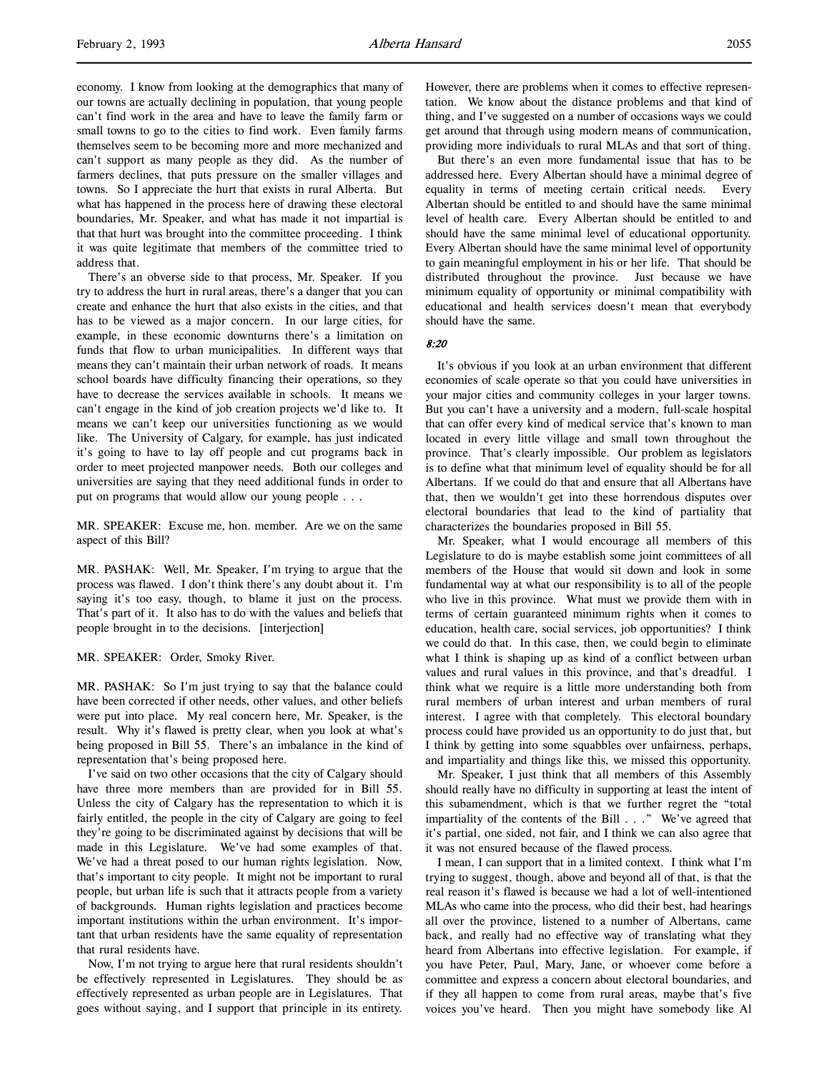economy. I know from looking at the demographics that many of our towns are actually declining in population, that young people can't find work in the area and have to leave the family farm or small towns to go to the cities to find work. Even family farms themselves seem to be becoming more and more mechanized and can't support as many people as they did. As the number of farmers declines, that puts pressure on the smaller villages and towns. So I appreciate the hurt that exists in rural Alberta. But what has happened in the process here of drawing these electoral boundaries, Mr. Speaker, and what has made it not impartial is that that hurt was brought into the committee proceeding. I think it was quite legitimate that members of the committee tried to address that.

There's an obverse side to that process, Mr. Speaker. If you try to address the hurt in rural areas, there's a danger that you can create and enhance the hurt that also exists in the cities, and that has to be viewed as a major concern. In our large cities, for example, in these economic downturns there's a limitation on funds that flow to urban municipalities. In different ways that means they can't maintain their urban network of roads. It means school boards have difficulty financing their operations, so they have to decrease the services available in schools. It means we can't engage in the kind of job creation projects we'd like to. It means we can't keep our universities functioning as we would like. The University of Calgary, for example, has just indicated it's going to have to lay off people and cut programs back in order to meet projected manpower needs. Both our colleges and universities are saying that they need additional funds in order to put on programs that would allow our young people . . .

MR. SPEAKER: Excuse me, hon. member. Are we on the same aspect of this Bill?

MR. PASHAK: Well, Mr. Speaker, I'm trying to argue that the process was flawed. I don't think there's any doubt about it. I'm saying it's too easy, though, to blame it just on the process. That's part of it. It also has to do with the values and beliefs that people brought in to the decisions. [interjection]

MR. SPEAKER: Order, Smoky River.

MR. PASHAK: So I'm just trying to say that the balance could have been corrected if other needs, other values, and other beliefs were put into place. My real concern here, Mr. Speaker, is the result. Why it's flawed is pretty clear, when you look at what's being proposed in Bill 55. There's an imbalance in the kind of representation that's being proposed here.

I've said on two other occasions that the city of Calgary should have three more members than are provided for in Bill 55. Unless the city of Calgary has the representation to which it is fairly entitled, the people in the city of Calgary are going to feel they're going to be discriminated against by decisions that will be made in this Legislature. We've had some examples of that. We've had a threat posed to our human rights legislation. Now, that's important to city people. It might not be important to rural people, but urban life is such that it attracts people from a variety of backgrounds. Human rights legislation and practices become important institutions within the urban environment. It's important that urban residents have the same equality of representation that rural residents have.

Now, I'm not trying to argue here that rural residents shouldn't be effectively represented in Legislatures. They should be as effectively represented as urban people are in Legislatures. That goes without saying, and I support that principle in its entirety.

However, there are problems when it comes to effective representation. We know about the distance problems and that kind of thing, and I've suggested on a number of occasions ways we could get around that through using modern means of communication, providing more individuals to rural MLAs and that sort of thing.

But there's an even more fundamental issue that has to be addressed here. Every Albertan should have a minimal degree of equality in terms of meeting certain critical needs. Every Albertan should be entitled to and should have the same minimal level of health care. Every Albertan should be entitled to and should have the same minimal level of educational opportunity. Every Albertan should have the same minimal level of opportunity to gain meaningful employment in his or her life. That should be distributed throughout the province. Just because we have minimum equality of opportunity or minimal compatibility with educational and health services doesn't mean that everybody should have the same.

# 8:20

It's obvious if you look at an urban environment that different economies of scale operate so that you could have universities in your major cities and community colleges in your larger towns. But you can't have a university and a modern, full-scale hospital that can offer every kind of medical service that's known to man located in every little village and small town throughout the province. That's clearly impossible. Our problem as legislators is to define what that minimum level of equality should be for all Albertans. If we could do that and ensure that all Albertans have that, then we wouldn't get into these horrendous disputes over electoral boundaries that lead to the kind of partiality that characterizes the boundaries proposed in Bill 55.

Mr. Speaker, what I would encourage all members of this Legislature to do is maybe establish some joint committees of all members of the House that would sit down and look in some fundamental way at what our responsibility is to all of the people who live in this province. What must we provide them with in terms of certain guaranteed minimum rights when it comes to education, health care, social services, job opportunities? I think we could do that. In this case, then, we could begin to eliminate what I think is shaping up as kind of a conflict between urban values and rural values in this province, and that's dreadful. I think what we require is a little more understanding both from rural members of urban interest and urban members of rural interest. I agree with that completely. This electoral boundary process could have provided us an opportunity to do just that, but I think by getting into some squabbles over unfairness, perhaps, and impartiality and things like this, we missed this opportunity.

Mr. Speaker, I just think that all members of this Assembly should really have no difficulty in supporting at least the intent of this subamendment, which is that we further regret the "total impartiality of the contents of the Bill . . ." We've agreed that it's partial, one sided, not fair, and I think we can also agree that it was not ensured because of the flawed process.

I mean, I can support that in a limited context. I think what I'm trying to suggest, though, above and beyond all of that, is that the real reason it's flawed is because we had a lot of well-intentioned MLAs who came into the process, who did their best, had hearings all over the province, listened to a number of Albertans, came back, and really had no effective way of translating what they heard from Albertans into effective legislation. For example, if you have Peter, Paul, Mary, Jane, or whoever come before a committee and express a concern about electoral boundaries, and if they all happen to come from rural areas, maybe that's five voices you've heard. Then you might have somebody like Al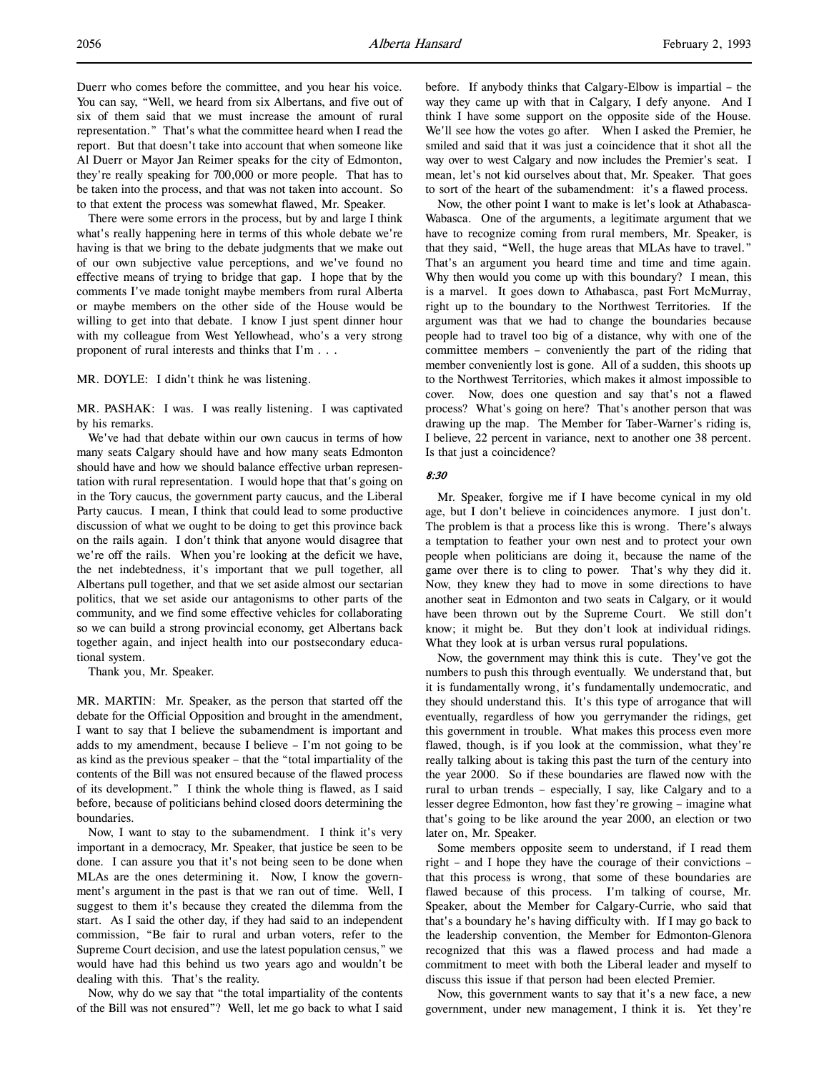Duerr who comes before the committee, and you hear his voice. You can say, "Well, we heard from six Albertans, and five out of six of them said that we must increase the amount of rural representation." That's what the committee heard when I read the report. But that doesn't take into account that when someone like Al Duerr or Mayor Jan Reimer speaks for the city of Edmonton, they're really speaking for 700,000 or more people. That has to be taken into the process, and that was not taken into account. So to that extent the process was somewhat flawed, Mr. Speaker.

There were some errors in the process, but by and large I think what's really happening here in terms of this whole debate we're having is that we bring to the debate judgments that we make out of our own subjective value perceptions, and we've found no effective means of trying to bridge that gap. I hope that by the comments I've made tonight maybe members from rural Alberta or maybe members on the other side of the House would be willing to get into that debate. I know I just spent dinner hour with my colleague from West Yellowhead, who's a very strong proponent of rural interests and thinks that I'm . . .

MR. DOYLE: I didn't think he was listening.

MR. PASHAK: I was. I was really listening. I was captivated by his remarks.

We've had that debate within our own caucus in terms of how many seats Calgary should have and how many seats Edmonton should have and how we should balance effective urban representation with rural representation. I would hope that that's going on in the Tory caucus, the government party caucus, and the Liberal Party caucus. I mean, I think that could lead to some productive discussion of what we ought to be doing to get this province back on the rails again. I don't think that anyone would disagree that we're off the rails. When you're looking at the deficit we have, the net indebtedness, it's important that we pull together, all Albertans pull together, and that we set aside almost our sectarian politics, that we set aside our antagonisms to other parts of the community, and we find some effective vehicles for collaborating so we can build a strong provincial economy, get Albertans back together again, and inject health into our postsecondary educational system.

Thank you, Mr. Speaker.

MR. MARTIN: Mr. Speaker, as the person that started off the debate for the Official Opposition and brought in the amendment, I want to say that I believe the subamendment is important and adds to my amendment, because I believe – I'm not going to be as kind as the previous speaker – that the "total impartiality of the contents of the Bill was not ensured because of the flawed process of its development." I think the whole thing is flawed, as I said before, because of politicians behind closed doors determining the boundaries.

Now, I want to stay to the subamendment. I think it's very important in a democracy, Mr. Speaker, that justice be seen to be done. I can assure you that it's not being seen to be done when MLAs are the ones determining it. Now, I know the government's argument in the past is that we ran out of time. Well, I suggest to them it's because they created the dilemma from the start. As I said the other day, if they had said to an independent commission, "Be fair to rural and urban voters, refer to the Supreme Court decision, and use the latest population census," we would have had this behind us two years ago and wouldn't be dealing with this. That's the reality.

Now, why do we say that "the total impartiality of the contents of the Bill was not ensured"? Well, let me go back to what I said before. If anybody thinks that Calgary-Elbow is impartial – the way they came up with that in Calgary, I defy anyone. And I think I have some support on the opposite side of the House. We'll see how the votes go after. When I asked the Premier, he smiled and said that it was just a coincidence that it shot all the way over to west Calgary and now includes the Premier's seat. I mean, let's not kid ourselves about that, Mr. Speaker. That goes to sort of the heart of the subamendment: it's a flawed process.

Now, the other point I want to make is let's look at Athabasca-Wabasca. One of the arguments, a legitimate argument that we have to recognize coming from rural members, Mr. Speaker, is that they said, "Well, the huge areas that MLAs have to travel." That's an argument you heard time and time and time again. Why then would you come up with this boundary? I mean, this is a marvel. It goes down to Athabasca, past Fort McMurray, right up to the boundary to the Northwest Territories. If the argument was that we had to change the boundaries because people had to travel too big of a distance, why with one of the committee members – conveniently the part of the riding that member conveniently lost is gone. All of a sudden, this shoots up to the Northwest Territories, which makes it almost impossible to cover. Now, does one question and say that's not a flawed process? What's going on here? That's another person that was drawing up the map. The Member for Taber-Warner's riding is, I believe, 22 percent in variance, next to another one 38 percent. Is that just a coincidence?

#### 8:30

Mr. Speaker, forgive me if I have become cynical in my old age, but I don't believe in coincidences anymore. I just don't. The problem is that a process like this is wrong. There's always a temptation to feather your own nest and to protect your own people when politicians are doing it, because the name of the game over there is to cling to power. That's why they did it. Now, they knew they had to move in some directions to have another seat in Edmonton and two seats in Calgary, or it would have been thrown out by the Supreme Court. We still don't know; it might be. But they don't look at individual ridings. What they look at is urban versus rural populations.

Now, the government may think this is cute. They've got the numbers to push this through eventually. We understand that, but it is fundamentally wrong, it's fundamentally undemocratic, and they should understand this. It's this type of arrogance that will eventually, regardless of how you gerrymander the ridings, get this government in trouble. What makes this process even more flawed, though, is if you look at the commission, what they're really talking about is taking this past the turn of the century into the year 2000. So if these boundaries are flawed now with the rural to urban trends – especially, I say, like Calgary and to a lesser degree Edmonton, how fast they're growing – imagine what that's going to be like around the year 2000, an election or two later on, Mr. Speaker.

Some members opposite seem to understand, if I read them right – and I hope they have the courage of their convictions – that this process is wrong, that some of these boundaries are flawed because of this process. I'm talking of course, Mr. Speaker, about the Member for Calgary-Currie, who said that that's a boundary he's having difficulty with. If I may go back to the leadership convention, the Member for Edmonton-Glenora recognized that this was a flawed process and had made a commitment to meet with both the Liberal leader and myself to discuss this issue if that person had been elected Premier.

Now, this government wants to say that it's a new face, a new government, under new management, I think it is. Yet they're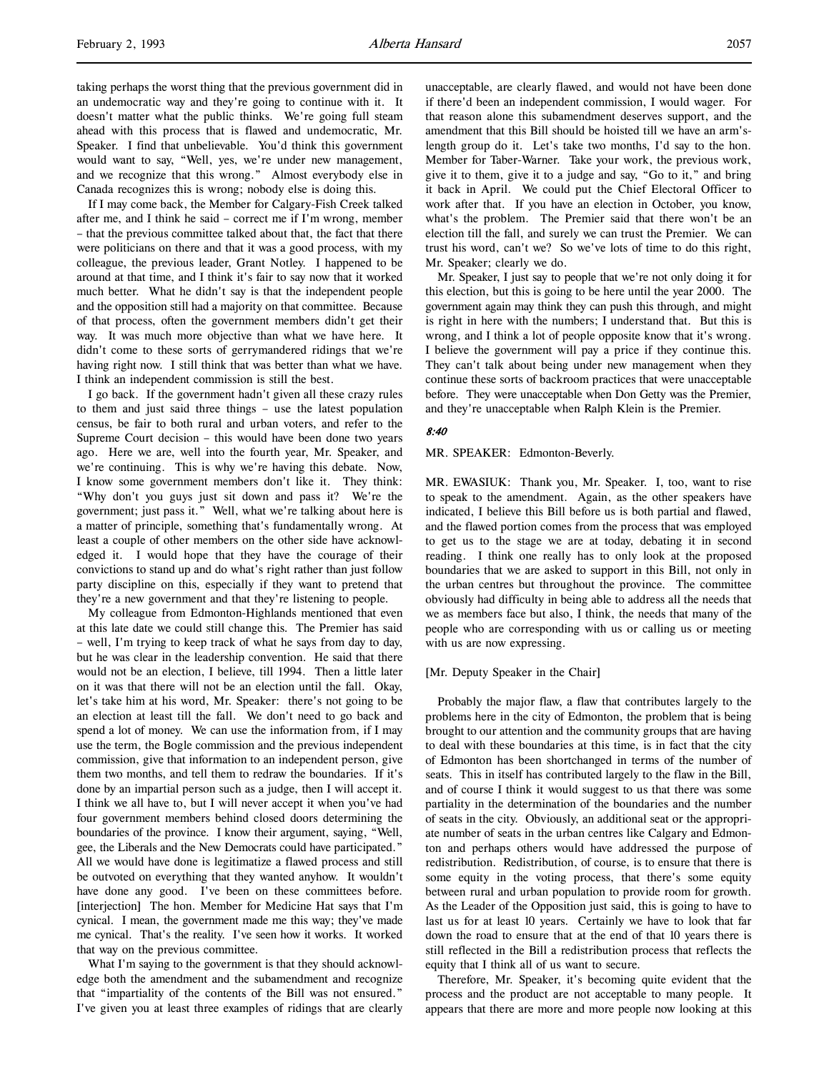taking perhaps the worst thing that the previous government did in an undemocratic way and they're going to continue with it. It doesn't matter what the public thinks. We're going full steam ahead with this process that is flawed and undemocratic, Mr. Speaker. I find that unbelievable. You'd think this government would want to say, "Well, yes, we're under new management, and we recognize that this wrong." Almost everybody else in Canada recognizes this is wrong; nobody else is doing this.

If I may come back, the Member for Calgary-Fish Creek talked after me, and I think he said – correct me if I'm wrong, member – that the previous committee talked about that, the fact that there were politicians on there and that it was a good process, with my colleague, the previous leader, Grant Notley. I happened to be around at that time, and I think it's fair to say now that it worked much better. What he didn't say is that the independent people and the opposition still had a majority on that committee. Because of that process, often the government members didn't get their way. It was much more objective than what we have here. It didn't come to these sorts of gerrymandered ridings that we're having right now. I still think that was better than what we have. I think an independent commission is still the best.

I go back. If the government hadn't given all these crazy rules to them and just said three things – use the latest population census, be fair to both rural and urban voters, and refer to the Supreme Court decision – this would have been done two years ago. Here we are, well into the fourth year, Mr. Speaker, and we're continuing. This is why we're having this debate. Now, I know some government members don't like it. They think: "Why don't you guys just sit down and pass it? We're the government; just pass it." Well, what we're talking about here is a matter of principle, something that's fundamentally wrong. At least a couple of other members on the other side have acknowledged it. I would hope that they have the courage of their convictions to stand up and do what's right rather than just follow party discipline on this, especially if they want to pretend that they're a new government and that they're listening to people.

My colleague from Edmonton-Highlands mentioned that even at this late date we could still change this. The Premier has said – well, I'm trying to keep track of what he says from day to day, but he was clear in the leadership convention. He said that there would not be an election, I believe, till 1994. Then a little later on it was that there will not be an election until the fall. Okay, let's take him at his word, Mr. Speaker: there's not going to be an election at least till the fall. We don't need to go back and spend a lot of money. We can use the information from, if I may use the term, the Bogle commission and the previous independent commission, give that information to an independent person, give them two months, and tell them to redraw the boundaries. If it's done by an impartial person such as a judge, then I will accept it. I think we all have to, but I will never accept it when you've had four government members behind closed doors determining the boundaries of the province. I know their argument, saying, "Well, gee, the Liberals and the New Democrats could have participated." All we would have done is legitimatize a flawed process and still be outvoted on everything that they wanted anyhow. It wouldn't have done any good. I've been on these committees before. [interjection] The hon. Member for Medicine Hat says that I'm cynical. I mean, the government made me this way; they've made me cynical. That's the reality. I've seen how it works. It worked that way on the previous committee.

What I'm saying to the government is that they should acknowledge both the amendment and the subamendment and recognize that "impartiality of the contents of the Bill was not ensured." I've given you at least three examples of ridings that are clearly unacceptable, are clearly flawed, and would not have been done if there'd been an independent commission, I would wager. For that reason alone this subamendment deserves support, and the amendment that this Bill should be hoisted till we have an arm'slength group do it. Let's take two months, I'd say to the hon. Member for Taber-Warner. Take your work, the previous work, give it to them, give it to a judge and say, "Go to it," and bring it back in April. We could put the Chief Electoral Officer to work after that. If you have an election in October, you know, what's the problem. The Premier said that there won't be an election till the fall, and surely we can trust the Premier. We can trust his word, can't we? So we've lots of time to do this right, Mr. Speaker; clearly we do.

Mr. Speaker, I just say to people that we're not only doing it for this election, but this is going to be here until the year 2000. The government again may think they can push this through, and might is right in here with the numbers; I understand that. But this is wrong, and I think a lot of people opposite know that it's wrong. I believe the government will pay a price if they continue this. They can't talk about being under new management when they continue these sorts of backroom practices that were unacceptable before. They were unacceptable when Don Getty was the Premier, and they're unacceptable when Ralph Klein is the Premier.

#### 8:40

#### MR. SPEAKER: Edmonton-Beverly.

MR. EWASIUK: Thank you, Mr. Speaker. I, too, want to rise to speak to the amendment. Again, as the other speakers have indicated, I believe this Bill before us is both partial and flawed, and the flawed portion comes from the process that was employed to get us to the stage we are at today, debating it in second reading. I think one really has to only look at the proposed boundaries that we are asked to support in this Bill, not only in the urban centres but throughout the province. The committee obviously had difficulty in being able to address all the needs that we as members face but also, I think, the needs that many of the people who are corresponding with us or calling us or meeting with us are now expressing.

### [Mr. Deputy Speaker in the Chair]

Probably the major flaw, a flaw that contributes largely to the problems here in the city of Edmonton, the problem that is being brought to our attention and the community groups that are having to deal with these boundaries at this time, is in fact that the city of Edmonton has been shortchanged in terms of the number of seats. This in itself has contributed largely to the flaw in the Bill, and of course I think it would suggest to us that there was some partiality in the determination of the boundaries and the number of seats in the city. Obviously, an additional seat or the appropriate number of seats in the urban centres like Calgary and Edmonton and perhaps others would have addressed the purpose of redistribution. Redistribution, of course, is to ensure that there is some equity in the voting process, that there's some equity between rural and urban population to provide room for growth. As the Leader of the Opposition just said, this is going to have to last us for at least 10 years. Certainly we have to look that far down the road to ensure that at the end of that 10 years there is still reflected in the Bill a redistribution process that reflects the equity that I think all of us want to secure.

Therefore, Mr. Speaker, it's becoming quite evident that the process and the product are not acceptable to many people. It appears that there are more and more people now looking at this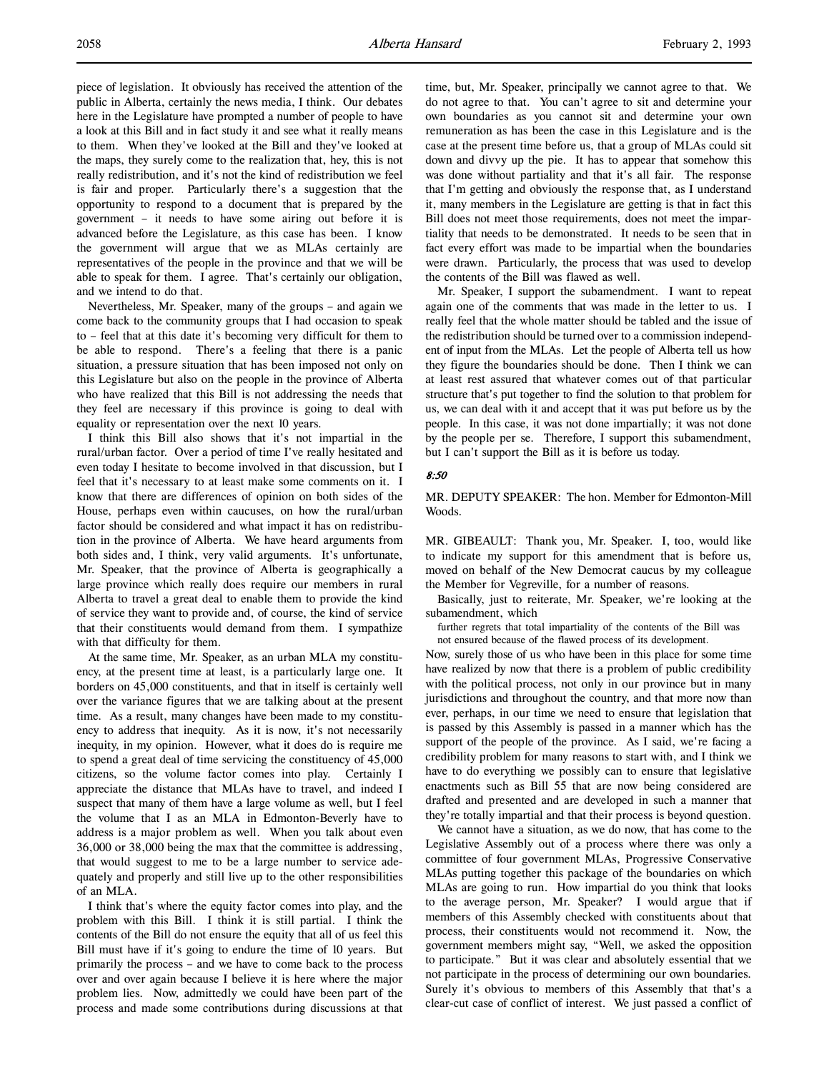piece of legislation. It obviously has received the attention of the public in Alberta, certainly the news media, I think. Our debates here in the Legislature have prompted a number of people to have a look at this Bill and in fact study it and see what it really means to them. When they've looked at the Bill and they've looked at the maps, they surely come to the realization that, hey, this is not really redistribution, and it's not the kind of redistribution we feel is fair and proper. Particularly there's a suggestion that the opportunity to respond to a document that is prepared by the government – it needs to have some airing out before it is advanced before the Legislature, as this case has been. I know the government will argue that we as MLAs certainly are representatives of the people in the province and that we will be able to speak for them. I agree. That's certainly our obligation, and we intend to do that.

Nevertheless, Mr. Speaker, many of the groups – and again we come back to the community groups that I had occasion to speak to – feel that at this date it's becoming very difficult for them to be able to respond. There's a feeling that there is a panic situation, a pressure situation that has been imposed not only on this Legislature but also on the people in the province of Alberta who have realized that this Bill is not addressing the needs that they feel are necessary if this province is going to deal with equality or representation over the next 10 years.

I think this Bill also shows that it's not impartial in the rural/urban factor. Over a period of time I've really hesitated and even today I hesitate to become involved in that discussion, but I feel that it's necessary to at least make some comments on it. I know that there are differences of opinion on both sides of the House, perhaps even within caucuses, on how the rural/urban factor should be considered and what impact it has on redistribution in the province of Alberta. We have heard arguments from both sides and, I think, very valid arguments. It's unfortunate, Mr. Speaker, that the province of Alberta is geographically a large province which really does require our members in rural Alberta to travel a great deal to enable them to provide the kind of service they want to provide and, of course, the kind of service that their constituents would demand from them. I sympathize with that difficulty for them.

At the same time, Mr. Speaker, as an urban MLA my constituency, at the present time at least, is a particularly large one. It borders on 45,000 constituents, and that in itself is certainly well over the variance figures that we are talking about at the present time. As a result, many changes have been made to my constituency to address that inequity. As it is now, it's not necessarily inequity, in my opinion. However, what it does do is require me to spend a great deal of time servicing the constituency of 45,000 citizens, so the volume factor comes into play. Certainly I appreciate the distance that MLAs have to travel, and indeed I suspect that many of them have a large volume as well, but I feel the volume that I as an MLA in Edmonton-Beverly have to address is a major problem as well. When you talk about even 36,000 or 38,000 being the max that the committee is addressing, that would suggest to me to be a large number to service adequately and properly and still live up to the other responsibilities of an MLA.

I think that's where the equity factor comes into play, and the problem with this Bill. I think it is still partial. I think the contents of the Bill do not ensure the equity that all of us feel this Bill must have if it's going to endure the time of 10 years. But primarily the process – and we have to come back to the process over and over again because I believe it is here where the major problem lies. Now, admittedly we could have been part of the process and made some contributions during discussions at that time, but, Mr. Speaker, principally we cannot agree to that. We do not agree to that. You can't agree to sit and determine your own boundaries as you cannot sit and determine your own remuneration as has been the case in this Legislature and is the case at the present time before us, that a group of MLAs could sit down and divvy up the pie. It has to appear that somehow this was done without partiality and that it's all fair. The response that I'm getting and obviously the response that, as I understand it, many members in the Legislature are getting is that in fact this Bill does not meet those requirements, does not meet the impartiality that needs to be demonstrated. It needs to be seen that in fact every effort was made to be impartial when the boundaries were drawn. Particularly, the process that was used to develop the contents of the Bill was flawed as well.

Mr. Speaker, I support the subamendment. I want to repeat again one of the comments that was made in the letter to us. I really feel that the whole matter should be tabled and the issue of the redistribution should be turned over to a commission independent of input from the MLAs. Let the people of Alberta tell us how they figure the boundaries should be done. Then I think we can at least rest assured that whatever comes out of that particular structure that's put together to find the solution to that problem for us, we can deal with it and accept that it was put before us by the people. In this case, it was not done impartially; it was not done by the people per se. Therefore, I support this subamendment, but I can't support the Bill as it is before us today.

# 8:50

MR. DEPUTY SPEAKER: The hon. Member for Edmonton-Mill Woods.

MR. GIBEAULT: Thank you, Mr. Speaker. I, too, would like to indicate my support for this amendment that is before us, moved on behalf of the New Democrat caucus by my colleague the Member for Vegreville, for a number of reasons.

Basically, just to reiterate, Mr. Speaker, we're looking at the subamendment, which

further regrets that total impartiality of the contents of the Bill was not ensured because of the flawed process of its development.

Now, surely those of us who have been in this place for some time have realized by now that there is a problem of public credibility with the political process, not only in our province but in many jurisdictions and throughout the country, and that more now than ever, perhaps, in our time we need to ensure that legislation that is passed by this Assembly is passed in a manner which has the support of the people of the province. As I said, we're facing a credibility problem for many reasons to start with, and I think we have to do everything we possibly can to ensure that legislative enactments such as Bill 55 that are now being considered are drafted and presented and are developed in such a manner that they're totally impartial and that their process is beyond question.

We cannot have a situation, as we do now, that has come to the Legislative Assembly out of a process where there was only a committee of four government MLAs, Progressive Conservative MLAs putting together this package of the boundaries on which MLAs are going to run. How impartial do you think that looks to the average person, Mr. Speaker? I would argue that if members of this Assembly checked with constituents about that process, their constituents would not recommend it. Now, the government members might say, "Well, we asked the opposition to participate." But it was clear and absolutely essential that we not participate in the process of determining our own boundaries. Surely it's obvious to members of this Assembly that that's a clear-cut case of conflict of interest. We just passed a conflict of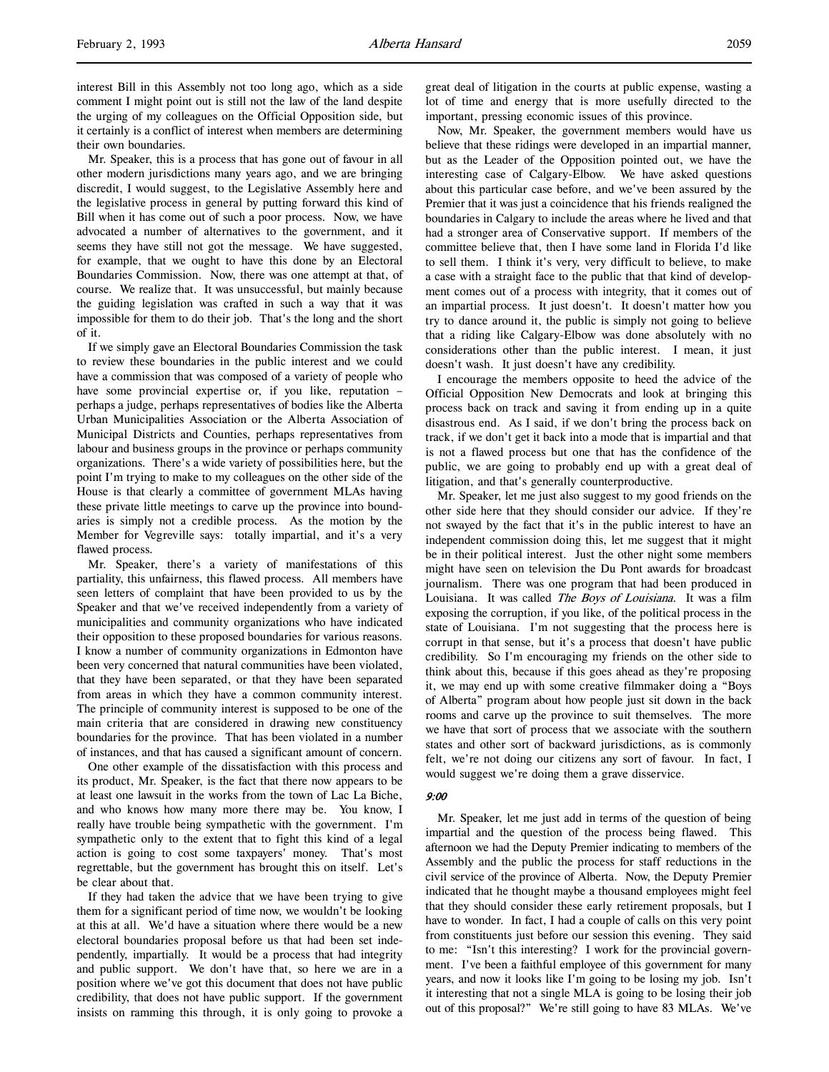interest Bill in this Assembly not too long ago, which as a side comment I might point out is still not the law of the land despite the urging of my colleagues on the Official Opposition side, but it certainly is a conflict of interest when members are determining their own boundaries.

Mr. Speaker, this is a process that has gone out of favour in all other modern jurisdictions many years ago, and we are bringing discredit, I would suggest, to the Legislative Assembly here and the legislative process in general by putting forward this kind of Bill when it has come out of such a poor process. Now, we have advocated a number of alternatives to the government, and it seems they have still not got the message. We have suggested, for example, that we ought to have this done by an Electoral Boundaries Commission. Now, there was one attempt at that, of course. We realize that. It was unsuccessful, but mainly because the guiding legislation was crafted in such a way that it was impossible for them to do their job. That's the long and the short of it.

If we simply gave an Electoral Boundaries Commission the task to review these boundaries in the public interest and we could have a commission that was composed of a variety of people who have some provincial expertise or, if you like, reputation – perhaps a judge, perhaps representatives of bodies like the Alberta Urban Municipalities Association or the Alberta Association of Municipal Districts and Counties, perhaps representatives from labour and business groups in the province or perhaps community organizations. There's a wide variety of possibilities here, but the point I'm trying to make to my colleagues on the other side of the House is that clearly a committee of government MLAs having these private little meetings to carve up the province into boundaries is simply not a credible process. As the motion by the Member for Vegreville says: totally impartial, and it's a very flawed process.

Mr. Speaker, there's a variety of manifestations of this partiality, this unfairness, this flawed process. All members have seen letters of complaint that have been provided to us by the Speaker and that we've received independently from a variety of municipalities and community organizations who have indicated their opposition to these proposed boundaries for various reasons. I know a number of community organizations in Edmonton have been very concerned that natural communities have been violated, that they have been separated, or that they have been separated from areas in which they have a common community interest. The principle of community interest is supposed to be one of the main criteria that are considered in drawing new constituency boundaries for the province. That has been violated in a number of instances, and that has caused a significant amount of concern.

One other example of the dissatisfaction with this process and its product, Mr. Speaker, is the fact that there now appears to be at least one lawsuit in the works from the town of Lac La Biche, and who knows how many more there may be. You know, I really have trouble being sympathetic with the government. I'm sympathetic only to the extent that to fight this kind of a legal action is going to cost some taxpayers' money. That's most regrettable, but the government has brought this on itself. Let's be clear about that.

If they had taken the advice that we have been trying to give them for a significant period of time now, we wouldn't be looking at this at all. We'd have a situation where there would be a new electoral boundaries proposal before us that had been set independently, impartially. It would be a process that had integrity and public support. We don't have that, so here we are in a position where we've got this document that does not have public credibility, that does not have public support. If the government insists on ramming this through, it is only going to provoke a

great deal of litigation in the courts at public expense, wasting a lot of time and energy that is more usefully directed to the important, pressing economic issues of this province.

Now, Mr. Speaker, the government members would have us believe that these ridings were developed in an impartial manner, but as the Leader of the Opposition pointed out, we have the interesting case of Calgary-Elbow. We have asked questions about this particular case before, and we've been assured by the Premier that it was just a coincidence that his friends realigned the boundaries in Calgary to include the areas where he lived and that had a stronger area of Conservative support. If members of the committee believe that, then I have some land in Florida I'd like to sell them. I think it's very, very difficult to believe, to make a case with a straight face to the public that that kind of development comes out of a process with integrity, that it comes out of an impartial process. It just doesn't. It doesn't matter how you try to dance around it, the public is simply not going to believe that a riding like Calgary-Elbow was done absolutely with no considerations other than the public interest. I mean, it just doesn't wash. It just doesn't have any credibility.

I encourage the members opposite to heed the advice of the Official Opposition New Democrats and look at bringing this process back on track and saving it from ending up in a quite disastrous end. As I said, if we don't bring the process back on track, if we don't get it back into a mode that is impartial and that is not a flawed process but one that has the confidence of the public, we are going to probably end up with a great deal of litigation, and that's generally counterproductive.

Mr. Speaker, let me just also suggest to my good friends on the other side here that they should consider our advice. If they're not swayed by the fact that it's in the public interest to have an independent commission doing this, let me suggest that it might be in their political interest. Just the other night some members might have seen on television the Du Pont awards for broadcast journalism. There was one program that had been produced in Louisiana. It was called The Boys of Louisiana. It was a film exposing the corruption, if you like, of the political process in the state of Louisiana. I'm not suggesting that the process here is corrupt in that sense, but it's a process that doesn't have public credibility. So I'm encouraging my friends on the other side to think about this, because if this goes ahead as they're proposing it, we may end up with some creative filmmaker doing a "Boys of Alberta" program about how people just sit down in the back rooms and carve up the province to suit themselves. The more we have that sort of process that we associate with the southern states and other sort of backward jurisdictions, as is commonly felt, we're not doing our citizens any sort of favour. In fact, I would suggest we're doing them a grave disservice.

### 9:00

Mr. Speaker, let me just add in terms of the question of being impartial and the question of the process being flawed. This afternoon we had the Deputy Premier indicating to members of the Assembly and the public the process for staff reductions in the civil service of the province of Alberta. Now, the Deputy Premier indicated that he thought maybe a thousand employees might feel that they should consider these early retirement proposals, but I have to wonder. In fact, I had a couple of calls on this very point from constituents just before our session this evening. They said to me: "Isn't this interesting? I work for the provincial government. I've been a faithful employee of this government for many years, and now it looks like I'm going to be losing my job. Isn't it interesting that not a single MLA is going to be losing their job out of this proposal?" We're still going to have 83 MLAs. We've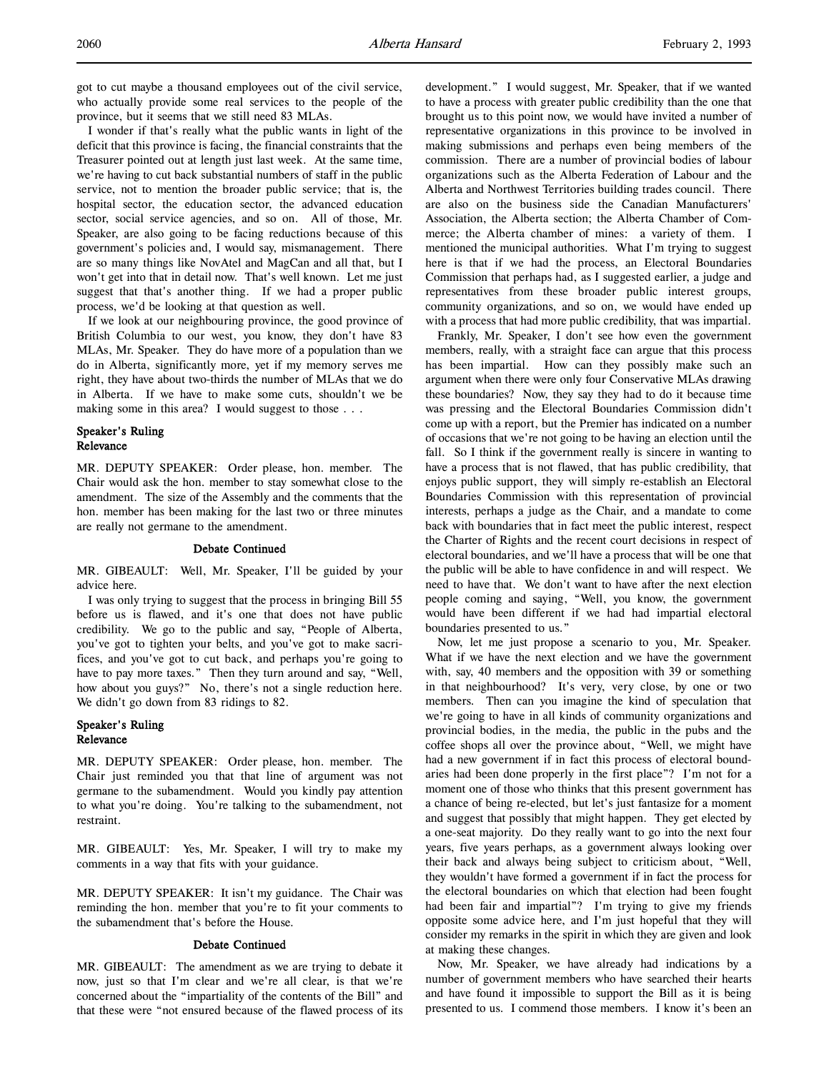got to cut maybe a thousand employees out of the civil service, who actually provide some real services to the people of the province, but it seems that we still need 83 MLAs.

I wonder if that's really what the public wants in light of the deficit that this province is facing, the financial constraints that the Treasurer pointed out at length just last week. At the same time, we're having to cut back substantial numbers of staff in the public service, not to mention the broader public service; that is, the hospital sector, the education sector, the advanced education sector, social service agencies, and so on. All of those, Mr. Speaker, are also going to be facing reductions because of this government's policies and, I would say, mismanagement. There are so many things like NovAtel and MagCan and all that, but I won't get into that in detail now. That's well known. Let me just suggest that that's another thing. If we had a proper public process, we'd be looking at that question as well.

If we look at our neighbouring province, the good province of British Columbia to our west, you know, they don't have 83 MLAs, Mr. Speaker. They do have more of a population than we do in Alberta, significantly more, yet if my memory serves me right, they have about two-thirds the number of MLAs that we do in Alberta. If we have to make some cuts, shouldn't we be making some in this area? I would suggest to those . . .

# Speaker's Ruling Relevance

MR. DEPUTY SPEAKER: Order please, hon. member. The Chair would ask the hon. member to stay somewhat close to the amendment. The size of the Assembly and the comments that the hon. member has been making for the last two or three minutes are really not germane to the amendment.

### Debate Continued

MR. GIBEAULT: Well, Mr. Speaker, I'll be guided by your advice here.

I was only trying to suggest that the process in bringing Bill 55 before us is flawed, and it's one that does not have public credibility. We go to the public and say, "People of Alberta, you've got to tighten your belts, and you've got to make sacrifices, and you've got to cut back, and perhaps you're going to have to pay more taxes." Then they turn around and say, "Well, how about you guys?" No, there's not a single reduction here. We didn't go down from 83 ridings to 82.

# Speaker's Ruling Relevance

MR. DEPUTY SPEAKER: Order please, hon. member. The Chair just reminded you that that line of argument was not germane to the subamendment. Would you kindly pay attention to what you're doing. You're talking to the subamendment, not restraint.

MR. GIBEAULT: Yes, Mr. Speaker, I will try to make my comments in a way that fits with your guidance.

MR. DEPUTY SPEAKER: It isn't my guidance. The Chair was reminding the hon. member that you're to fit your comments to the subamendment that's before the House.

### Debate Continued

MR. GIBEAULT: The amendment as we are trying to debate it now, just so that I'm clear and we're all clear, is that we're concerned about the "impartiality of the contents of the Bill" and that these were "not ensured because of the flawed process of its

development." I would suggest, Mr. Speaker, that if we wanted to have a process with greater public credibility than the one that brought us to this point now, we would have invited a number of representative organizations in this province to be involved in making submissions and perhaps even being members of the commission. There are a number of provincial bodies of labour organizations such as the Alberta Federation of Labour and the Alberta and Northwest Territories building trades council. There are also on the business side the Canadian Manufacturers' Association, the Alberta section; the Alberta Chamber of Commerce; the Alberta chamber of mines: a variety of them. I mentioned the municipal authorities. What I'm trying to suggest here is that if we had the process, an Electoral Boundaries Commission that perhaps had, as I suggested earlier, a judge and representatives from these broader public interest groups, community organizations, and so on, we would have ended up with a process that had more public credibility, that was impartial.

Frankly, Mr. Speaker, I don't see how even the government members, really, with a straight face can argue that this process has been impartial. How can they possibly make such an argument when there were only four Conservative MLAs drawing these boundaries? Now, they say they had to do it because time was pressing and the Electoral Boundaries Commission didn't come up with a report, but the Premier has indicated on a number of occasions that we're not going to be having an election until the fall. So I think if the government really is sincere in wanting to have a process that is not flawed, that has public credibility, that enjoys public support, they will simply re-establish an Electoral Boundaries Commission with this representation of provincial interests, perhaps a judge as the Chair, and a mandate to come back with boundaries that in fact meet the public interest, respect the Charter of Rights and the recent court decisions in respect of electoral boundaries, and we'll have a process that will be one that the public will be able to have confidence in and will respect. We need to have that. We don't want to have after the next election people coming and saying, "Well, you know, the government would have been different if we had had impartial electoral boundaries presented to us."

Now, let me just propose a scenario to you, Mr. Speaker. What if we have the next election and we have the government with, say, 40 members and the opposition with 39 or something in that neighbourhood? It's very, very close, by one or two members. Then can you imagine the kind of speculation that we're going to have in all kinds of community organizations and provincial bodies, in the media, the public in the pubs and the coffee shops all over the province about, "Well, we might have had a new government if in fact this process of electoral boundaries had been done properly in the first place"? I'm not for a moment one of those who thinks that this present government has a chance of being re-elected, but let's just fantasize for a moment and suggest that possibly that might happen. They get elected by a one-seat majority. Do they really want to go into the next four years, five years perhaps, as a government always looking over their back and always being subject to criticism about, "Well, they wouldn't have formed a government if in fact the process for the electoral boundaries on which that election had been fought had been fair and impartial"? I'm trying to give my friends opposite some advice here, and I'm just hopeful that they will consider my remarks in the spirit in which they are given and look at making these changes.

Now, Mr. Speaker, we have already had indications by a number of government members who have searched their hearts and have found it impossible to support the Bill as it is being presented to us. I commend those members. I know it's been an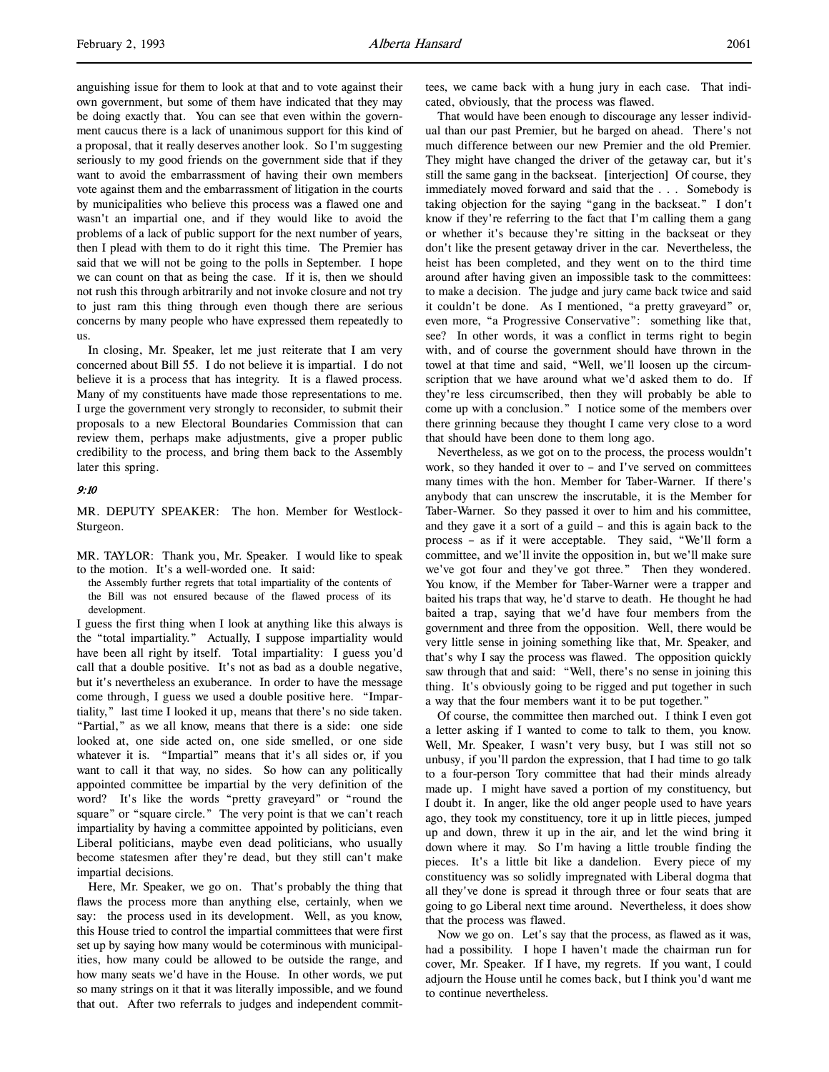anguishing issue for them to look at that and to vote against their own government, but some of them have indicated that they may be doing exactly that. You can see that even within the government caucus there is a lack of unanimous support for this kind of a proposal, that it really deserves another look. So I'm suggesting seriously to my good friends on the government side that if they want to avoid the embarrassment of having their own members vote against them and the embarrassment of litigation in the courts by municipalities who believe this process was a flawed one and wasn't an impartial one, and if they would like to avoid the problems of a lack of public support for the next number of years, then I plead with them to do it right this time. The Premier has said that we will not be going to the polls in September. I hope we can count on that as being the case. If it is, then we should not rush this through arbitrarily and not invoke closure and not try to just ram this thing through even though there are serious concerns by many people who have expressed them repeatedly to us.

In closing, Mr. Speaker, let me just reiterate that I am very concerned about Bill 55. I do not believe it is impartial. I do not believe it is a process that has integrity. It is a flawed process. Many of my constituents have made those representations to me. I urge the government very strongly to reconsider, to submit their proposals to a new Electoral Boundaries Commission that can review them, perhaps make adjustments, give a proper public credibility to the process, and bring them back to the Assembly later this spring.

### 9:10

MR. DEPUTY SPEAKER: The hon. Member for Westlock-Sturgeon.

MR. TAYLOR: Thank you, Mr. Speaker. I would like to speak to the motion. It's a well-worded one. It said:

the Assembly further regrets that total impartiality of the contents of the Bill was not ensured because of the flawed process of its development.

I guess the first thing when I look at anything like this always is the "total impartiality." Actually, I suppose impartiality would have been all right by itself. Total impartiality: I guess you'd call that a double positive. It's not as bad as a double negative, but it's nevertheless an exuberance. In order to have the message come through, I guess we used a double positive here. "Impartiality," last time I looked it up, means that there's no side taken. "Partial," as we all know, means that there is a side: one side looked at, one side acted on, one side smelled, or one side whatever it is. "Impartial" means that it's all sides or, if you want to call it that way, no sides. So how can any politically appointed committee be impartial by the very definition of the word? It's like the words "pretty graveyard" or "round the square" or "square circle." The very point is that we can't reach impartiality by having a committee appointed by politicians, even Liberal politicians, maybe even dead politicians, who usually become statesmen after they're dead, but they still can't make impartial decisions.

Here, Mr. Speaker, we go on. That's probably the thing that flaws the process more than anything else, certainly, when we say: the process used in its development. Well, as you know, this House tried to control the impartial committees that were first set up by saying how many would be coterminous with municipalities, how many could be allowed to be outside the range, and how many seats we'd have in the House. In other words, we put so many strings on it that it was literally impossible, and we found that out. After two referrals to judges and independent committees, we came back with a hung jury in each case. That indicated, obviously, that the process was flawed.

That would have been enough to discourage any lesser individual than our past Premier, but he barged on ahead. There's not much difference between our new Premier and the old Premier. They might have changed the driver of the getaway car, but it's still the same gang in the backseat. [interjection] Of course, they immediately moved forward and said that the . . . Somebody is taking objection for the saying "gang in the backseat." I don't know if they're referring to the fact that I'm calling them a gang or whether it's because they're sitting in the backseat or they don't like the present getaway driver in the car. Nevertheless, the heist has been completed, and they went on to the third time around after having given an impossible task to the committees: to make a decision. The judge and jury came back twice and said it couldn't be done. As I mentioned, "a pretty graveyard" or, even more, "a Progressive Conservative": something like that, see? In other words, it was a conflict in terms right to begin with, and of course the government should have thrown in the towel at that time and said, "Well, we'll loosen up the circumscription that we have around what we'd asked them to do. If they're less circumscribed, then they will probably be able to come up with a conclusion." I notice some of the members over there grinning because they thought I came very close to a word that should have been done to them long ago.

Nevertheless, as we got on to the process, the process wouldn't work, so they handed it over to – and I've served on committees many times with the hon. Member for Taber-Warner. If there's anybody that can unscrew the inscrutable, it is the Member for Taber-Warner. So they passed it over to him and his committee, and they gave it a sort of a guild – and this is again back to the process – as if it were acceptable. They said, "We'll form a committee, and we'll invite the opposition in, but we'll make sure we've got four and they've got three." Then they wondered. You know, if the Member for Taber-Warner were a trapper and baited his traps that way, he'd starve to death. He thought he had baited a trap, saying that we'd have four members from the government and three from the opposition. Well, there would be very little sense in joining something like that, Mr. Speaker, and that's why I say the process was flawed. The opposition quickly saw through that and said: "Well, there's no sense in joining this thing. It's obviously going to be rigged and put together in such a way that the four members want it to be put together."

Of course, the committee then marched out. I think I even got a letter asking if I wanted to come to talk to them, you know. Well, Mr. Speaker, I wasn't very busy, but I was still not so unbusy, if you'll pardon the expression, that I had time to go talk to a four-person Tory committee that had their minds already made up. I might have saved a portion of my constituency, but I doubt it. In anger, like the old anger people used to have years ago, they took my constituency, tore it up in little pieces, jumped up and down, threw it up in the air, and let the wind bring it down where it may. So I'm having a little trouble finding the pieces. It's a little bit like a dandelion. Every piece of my constituency was so solidly impregnated with Liberal dogma that all they've done is spread it through three or four seats that are going to go Liberal next time around. Nevertheless, it does show that the process was flawed.

Now we go on. Let's say that the process, as flawed as it was, had a possibility. I hope I haven't made the chairman run for cover, Mr. Speaker. If I have, my regrets. If you want, I could adjourn the House until he comes back, but I think you'd want me to continue nevertheless.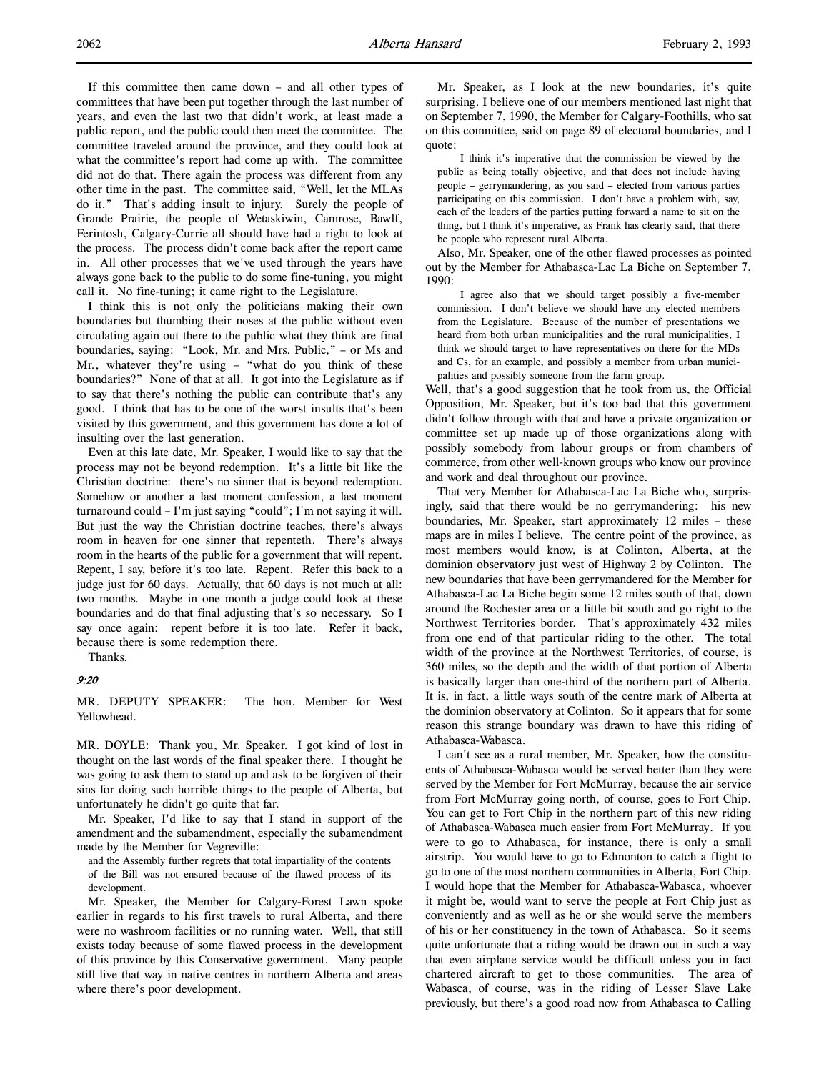If this committee then came down – and all other types of committees that have been put together through the last number of years, and even the last two that didn't work, at least made a public report, and the public could then meet the committee. The committee traveled around the province, and they could look at what the committee's report had come up with. The committee did not do that. There again the process was different from any other time in the past. The committee said, "Well, let the MLAs do it." That's adding insult to injury. Surely the people of Grande Prairie, the people of Wetaskiwin, Camrose, Bawlf, Ferintosh, Calgary-Currie all should have had a right to look at the process. The process didn't come back after the report came in. All other processes that we've used through the years have always gone back to the public to do some fine-tuning, you might call it. No fine-tuning; it came right to the Legislature.

I think this is not only the politicians making their own boundaries but thumbing their noses at the public without even circulating again out there to the public what they think are final boundaries, saying: "Look, Mr. and Mrs. Public," – or Ms and Mr., whatever they're using – "what do you think of these boundaries?" None of that at all. It got into the Legislature as if to say that there's nothing the public can contribute that's any good. I think that has to be one of the worst insults that's been visited by this government, and this government has done a lot of insulting over the last generation.

Even at this late date, Mr. Speaker, I would like to say that the process may not be beyond redemption. It's a little bit like the Christian doctrine: there's no sinner that is beyond redemption. Somehow or another a last moment confession, a last moment turnaround could – I'm just saying "could"; I'm not saying it will. But just the way the Christian doctrine teaches, there's always room in heaven for one sinner that repenteth. There's always room in the hearts of the public for a government that will repent. Repent, I say, before it's too late. Repent. Refer this back to a judge just for 60 days. Actually, that 60 days is not much at all: two months. Maybe in one month a judge could look at these boundaries and do that final adjusting that's so necessary. So I say once again: repent before it is too late. Refer it back, because there is some redemption there.

Thanks.

# 9:20

MR. DEPUTY SPEAKER: The hon. Member for West Yellowhead.

MR. DOYLE: Thank you, Mr. Speaker. I got kind of lost in thought on the last words of the final speaker there. I thought he was going to ask them to stand up and ask to be forgiven of their sins for doing such horrible things to the people of Alberta, but unfortunately he didn't go quite that far.

Mr. Speaker, I'd like to say that I stand in support of the amendment and the subamendment, especially the subamendment made by the Member for Vegreville:

and the Assembly further regrets that total impartiality of the contents of the Bill was not ensured because of the flawed process of its development.

Mr. Speaker, the Member for Calgary-Forest Lawn spoke earlier in regards to his first travels to rural Alberta, and there were no washroom facilities or no running water. Well, that still exists today because of some flawed process in the development of this province by this Conservative government. Many people still live that way in native centres in northern Alberta and areas where there's poor development.

Mr. Speaker, as I look at the new boundaries, it's quite surprising. I believe one of our members mentioned last night that on September 7, 1990, the Member for Calgary-Foothills, who sat on this committee, said on page 89 of electoral boundaries, and I quote:

I think it's imperative that the commission be viewed by the public as being totally objective, and that does not include having people – gerrymandering, as you said – elected from various parties participating on this commission. I don't have a problem with, say, each of the leaders of the parties putting forward a name to sit on the thing, but I think it's imperative, as Frank has clearly said, that there be people who represent rural Alberta.

Also, Mr. Speaker, one of the other flawed processes as pointed out by the Member for Athabasca-Lac La Biche on September 7, 1990:

I agree also that we should target possibly a five-member commission. I don't believe we should have any elected members from the Legislature. Because of the number of presentations we heard from both urban municipalities and the rural municipalities, I think we should target to have representatives on there for the MDs and Cs, for an example, and possibly a member from urban municipalities and possibly someone from the farm group.

Well, that's a good suggestion that he took from us, the Official Opposition, Mr. Speaker, but it's too bad that this government didn't follow through with that and have a private organization or committee set up made up of those organizations along with possibly somebody from labour groups or from chambers of commerce, from other well-known groups who know our province and work and deal throughout our province.

That very Member for Athabasca-Lac La Biche who, surprisingly, said that there would be no gerrymandering: his new boundaries, Mr. Speaker, start approximately 12 miles – these maps are in miles I believe. The centre point of the province, as most members would know, is at Colinton, Alberta, at the dominion observatory just west of Highway 2 by Colinton. The new boundaries that have been gerrymandered for the Member for Athabasca-Lac La Biche begin some 12 miles south of that, down around the Rochester area or a little bit south and go right to the Northwest Territories border. That's approximately 432 miles from one end of that particular riding to the other. The total width of the province at the Northwest Territories, of course, is 360 miles, so the depth and the width of that portion of Alberta is basically larger than one-third of the northern part of Alberta. It is, in fact, a little ways south of the centre mark of Alberta at the dominion observatory at Colinton. So it appears that for some reason this strange boundary was drawn to have this riding of Athabasca-Wabasca.

I can't see as a rural member, Mr. Speaker, how the constituents of Athabasca-Wabasca would be served better than they were served by the Member for Fort McMurray, because the air service from Fort McMurray going north, of course, goes to Fort Chip. You can get to Fort Chip in the northern part of this new riding of Athabasca-Wabasca much easier from Fort McMurray. If you were to go to Athabasca, for instance, there is only a small airstrip. You would have to go to Edmonton to catch a flight to go to one of the most northern communities in Alberta, Fort Chip. I would hope that the Member for Athabasca-Wabasca, whoever it might be, would want to serve the people at Fort Chip just as conveniently and as well as he or she would serve the members of his or her constituency in the town of Athabasca. So it seems quite unfortunate that a riding would be drawn out in such a way that even airplane service would be difficult unless you in fact chartered aircraft to get to those communities. The area of Wabasca, of course, was in the riding of Lesser Slave Lake previously, but there's a good road now from Athabasca to Calling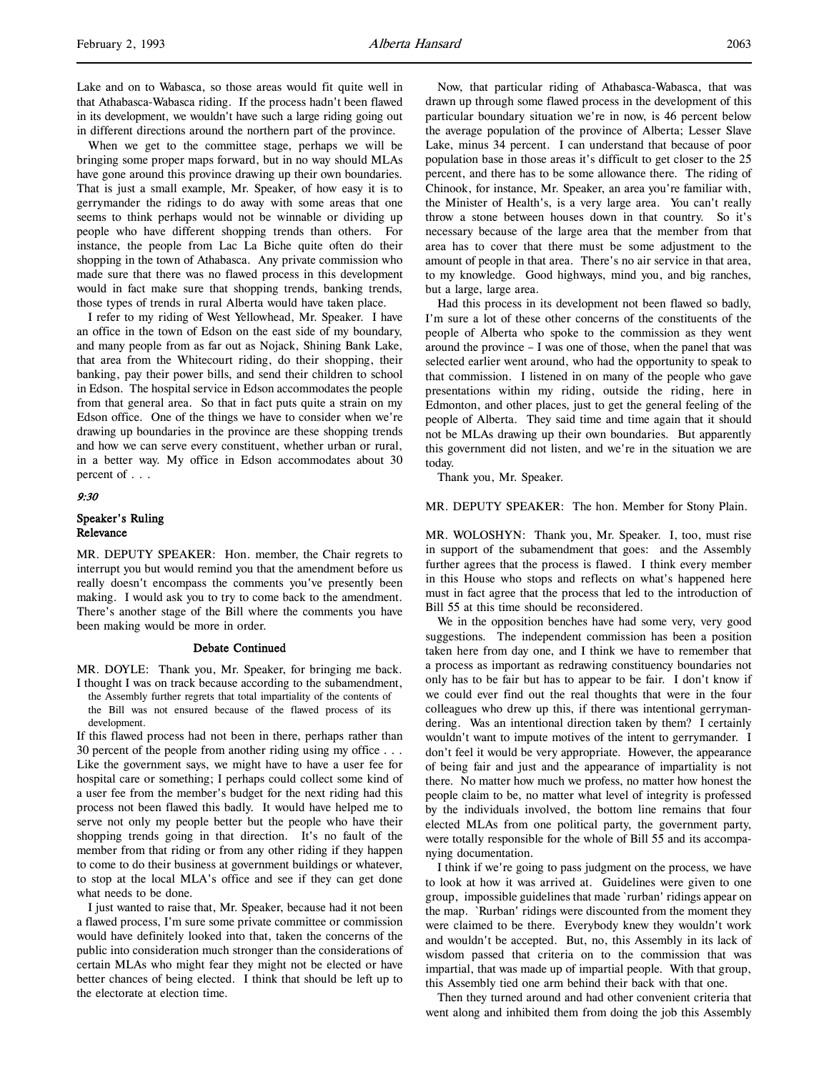When we get to the committee stage, perhaps we will be bringing some proper maps forward, but in no way should MLAs have gone around this province drawing up their own boundaries. That is just a small example, Mr. Speaker, of how easy it is to gerrymander the ridings to do away with some areas that one seems to think perhaps would not be winnable or dividing up people who have different shopping trends than others. For instance, the people from Lac La Biche quite often do their shopping in the town of Athabasca. Any private commission who made sure that there was no flawed process in this development would in fact make sure that shopping trends, banking trends, those types of trends in rural Alberta would have taken place.

I refer to my riding of West Yellowhead, Mr. Speaker. I have an office in the town of Edson on the east side of my boundary, and many people from as far out as Nojack, Shining Bank Lake, that area from the Whitecourt riding, do their shopping, their banking, pay their power bills, and send their children to school in Edson. The hospital service in Edson accommodates the people from that general area. So that in fact puts quite a strain on my Edson office. One of the things we have to consider when we're drawing up boundaries in the province are these shopping trends and how we can serve every constituent, whether urban or rural, in a better way. My office in Edson accommodates about 30 percent of . . .

### 9:30

# Speaker's Ruling Relevance

MR. DEPUTY SPEAKER: Hon. member, the Chair regrets to interrupt you but would remind you that the amendment before us really doesn't encompass the comments you've presently been making. I would ask you to try to come back to the amendment. There's another stage of the Bill where the comments you have been making would be more in order.

### Debate Continued

MR. DOYLE: Thank you, Mr. Speaker, for bringing me back. I thought I was on track because according to the subamendment, the Assembly further regrets that total impartiality of the contents of the Bill was not ensured because of the flawed process of its development.

If this flawed process had not been in there, perhaps rather than 30 percent of the people from another riding using my office . . . Like the government says, we might have to have a user fee for hospital care or something; I perhaps could collect some kind of a user fee from the member's budget for the next riding had this process not been flawed this badly. It would have helped me to serve not only my people better but the people who have their shopping trends going in that direction. It's no fault of the member from that riding or from any other riding if they happen to come to do their business at government buildings or whatever, to stop at the local MLA's office and see if they can get done what needs to be done.

I just wanted to raise that, Mr. Speaker, because had it not been a flawed process, I'm sure some private committee or commission would have definitely looked into that, taken the concerns of the public into consideration much stronger than the considerations of certain MLAs who might fear they might not be elected or have better chances of being elected. I think that should be left up to the electorate at election time.

Now, that particular riding of Athabasca-Wabasca, that was drawn up through some flawed process in the development of this particular boundary situation we're in now, is 46 percent below the average population of the province of Alberta; Lesser Slave Lake, minus 34 percent. I can understand that because of poor population base in those areas it's difficult to get closer to the 25 percent, and there has to be some allowance there. The riding of Chinook, for instance, Mr. Speaker, an area you're familiar with, the Minister of Health's, is a very large area. You can't really throw a stone between houses down in that country. So it's necessary because of the large area that the member from that area has to cover that there must be some adjustment to the amount of people in that area. There's no air service in that area, to my knowledge. Good highways, mind you, and big ranches, but a large, large area.

Had this process in its development not been flawed so badly, I'm sure a lot of these other concerns of the constituents of the people of Alberta who spoke to the commission as they went around the province – I was one of those, when the panel that was selected earlier went around, who had the opportunity to speak to that commission. I listened in on many of the people who gave presentations within my riding, outside the riding, here in Edmonton, and other places, just to get the general feeling of the people of Alberta. They said time and time again that it should not be MLAs drawing up their own boundaries. But apparently this government did not listen, and we're in the situation we are today.

Thank you, Mr. Speaker.

### MR. DEPUTY SPEAKER: The hon. Member for Stony Plain.

MR. WOLOSHYN: Thank you, Mr. Speaker. I, too, must rise in support of the subamendment that goes: and the Assembly further agrees that the process is flawed. I think every member in this House who stops and reflects on what's happened here must in fact agree that the process that led to the introduction of Bill 55 at this time should be reconsidered.

We in the opposition benches have had some very, very good suggestions. The independent commission has been a position taken here from day one, and I think we have to remember that a process as important as redrawing constituency boundaries not only has to be fair but has to appear to be fair. I don't know if we could ever find out the real thoughts that were in the four colleagues who drew up this, if there was intentional gerrymandering. Was an intentional direction taken by them? I certainly wouldn't want to impute motives of the intent to gerrymander. I don't feel it would be very appropriate. However, the appearance of being fair and just and the appearance of impartiality is not there. No matter how much we profess, no matter how honest the people claim to be, no matter what level of integrity is professed by the individuals involved, the bottom line remains that four elected MLAs from one political party, the government party, were totally responsible for the whole of Bill 55 and its accompanying documentation.

I think if we're going to pass judgment on the process, we have to look at how it was arrived at. Guidelines were given to one group, impossible guidelines that made `rurban' ridings appear on the map. `Rurban' ridings were discounted from the moment they were claimed to be there. Everybody knew they wouldn't work and wouldn't be accepted. But, no, this Assembly in its lack of wisdom passed that criteria on to the commission that was impartial, that was made up of impartial people. With that group, this Assembly tied one arm behind their back with that one.

Then they turned around and had other convenient criteria that went along and inhibited them from doing the job this Assembly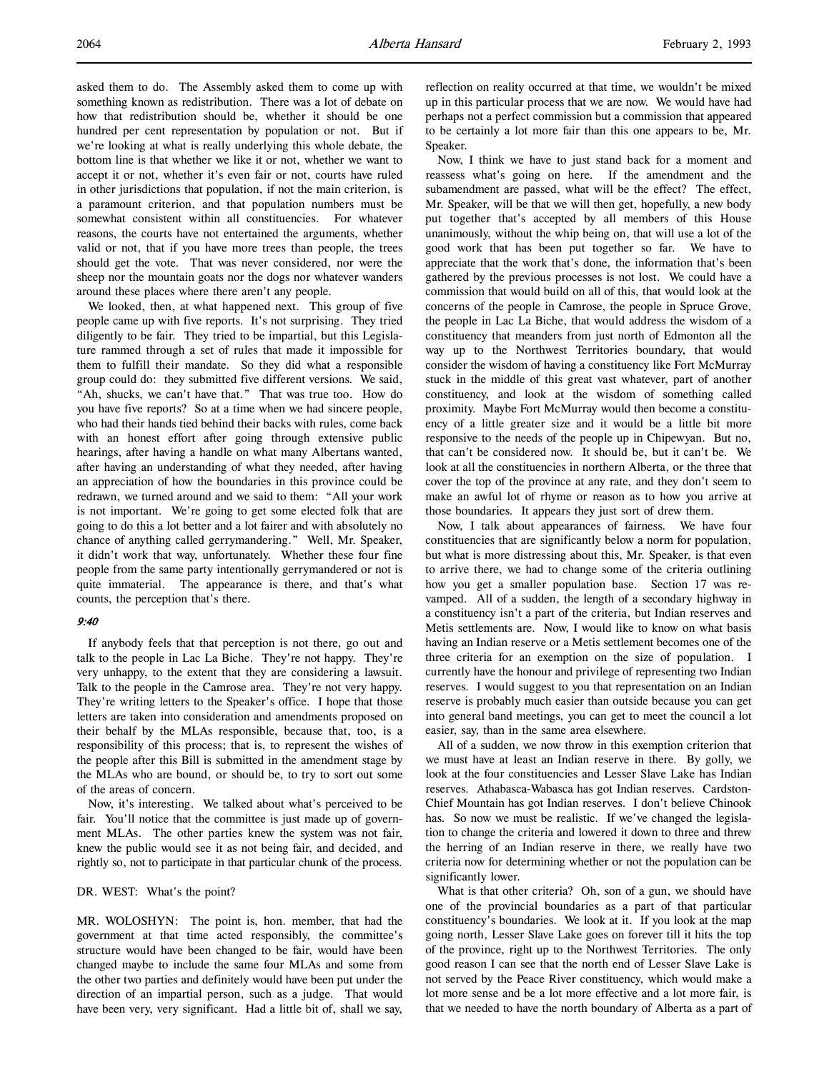asked them to do. The Assembly asked them to come up with something known as redistribution. There was a lot of debate on how that redistribution should be, whether it should be one hundred per cent representation by population or not. But if we're looking at what is really underlying this whole debate, the bottom line is that whether we like it or not, whether we want to accept it or not, whether it's even fair or not, courts have ruled in other jurisdictions that population, if not the main criterion, is a paramount criterion, and that population numbers must be somewhat consistent within all constituencies. For whatever reasons, the courts have not entertained the arguments, whether valid or not, that if you have more trees than people, the trees should get the vote. That was never considered, nor were the sheep nor the mountain goats nor the dogs nor whatever wanders around these places where there aren't any people.

We looked, then, at what happened next. This group of five people came up with five reports. It's not surprising. They tried diligently to be fair. They tried to be impartial, but this Legislature rammed through a set of rules that made it impossible for them to fulfill their mandate. So they did what a responsible group could do: they submitted five different versions. We said, "Ah, shucks, we can't have that." That was true too. How do you have five reports? So at a time when we had sincere people, who had their hands tied behind their backs with rules, come back with an honest effort after going through extensive public hearings, after having a handle on what many Albertans wanted, after having an understanding of what they needed, after having an appreciation of how the boundaries in this province could be redrawn, we turned around and we said to them: "All your work is not important. We're going to get some elected folk that are going to do this a lot better and a lot fairer and with absolutely no chance of anything called gerrymandering." Well, Mr. Speaker, it didn't work that way, unfortunately. Whether these four fine people from the same party intentionally gerrymandered or not is quite immaterial. The appearance is there, and that's what counts, the perception that's there.

# 9:40

If anybody feels that that perception is not there, go out and talk to the people in Lac La Biche. They're not happy. They're very unhappy, to the extent that they are considering a lawsuit. Talk to the people in the Camrose area. They're not very happy. They're writing letters to the Speaker's office. I hope that those letters are taken into consideration and amendments proposed on their behalf by the MLAs responsible, because that, too, is a responsibility of this process; that is, to represent the wishes of the people after this Bill is submitted in the amendment stage by the MLAs who are bound, or should be, to try to sort out some of the areas of concern.

Now, it's interesting. We talked about what's perceived to be fair. You'll notice that the committee is just made up of government MLAs. The other parties knew the system was not fair, knew the public would see it as not being fair, and decided, and rightly so, not to participate in that particular chunk of the process.

# DR. WEST: What's the point?

MR. WOLOSHYN: The point is, hon. member, that had the government at that time acted responsibly, the committee's structure would have been changed to be fair, would have been changed maybe to include the same four MLAs and some from the other two parties and definitely would have been put under the direction of an impartial person, such as a judge. That would have been very, very significant. Had a little bit of, shall we say,

reflection on reality occurred at that time, we wouldn't be mixed up in this particular process that we are now. We would have had perhaps not a perfect commission but a commission that appeared to be certainly a lot more fair than this one appears to be, Mr. Speaker.

Now, I think we have to just stand back for a moment and reassess what's going on here. If the amendment and the subamendment are passed, what will be the effect? The effect, Mr. Speaker, will be that we will then get, hopefully, a new body put together that's accepted by all members of this House unanimously, without the whip being on, that will use a lot of the good work that has been put together so far. We have to appreciate that the work that's done, the information that's been gathered by the previous processes is not lost. We could have a commission that would build on all of this, that would look at the concerns of the people in Camrose, the people in Spruce Grove, the people in Lac La Biche, that would address the wisdom of a constituency that meanders from just north of Edmonton all the way up to the Northwest Territories boundary, that would consider the wisdom of having a constituency like Fort McMurray stuck in the middle of this great vast whatever, part of another constituency, and look at the wisdom of something called proximity. Maybe Fort McMurray would then become a constituency of a little greater size and it would be a little bit more responsive to the needs of the people up in Chipewyan. But no, that can't be considered now. It should be, but it can't be. We look at all the constituencies in northern Alberta, or the three that cover the top of the province at any rate, and they don't seem to make an awful lot of rhyme or reason as to how you arrive at those boundaries. It appears they just sort of drew them.

Now, I talk about appearances of fairness. We have four constituencies that are significantly below a norm for population, but what is more distressing about this, Mr. Speaker, is that even to arrive there, we had to change some of the criteria outlining how you get a smaller population base. Section 17 was revamped. All of a sudden, the length of a secondary highway in a constituency isn't a part of the criteria, but Indian reserves and Metis settlements are. Now, I would like to know on what basis having an Indian reserve or a Metis settlement becomes one of the three criteria for an exemption on the size of population. I currently have the honour and privilege of representing two Indian reserves. I would suggest to you that representation on an Indian reserve is probably much easier than outside because you can get into general band meetings, you can get to meet the council a lot easier, say, than in the same area elsewhere.

All of a sudden, we now throw in this exemption criterion that we must have at least an Indian reserve in there. By golly, we look at the four constituencies and Lesser Slave Lake has Indian reserves. Athabasca-Wabasca has got Indian reserves. Cardston-Chief Mountain has got Indian reserves. I don't believe Chinook has. So now we must be realistic. If we've changed the legislation to change the criteria and lowered it down to three and threw the herring of an Indian reserve in there, we really have two criteria now for determining whether or not the population can be significantly lower.

What is that other criteria? Oh, son of a gun, we should have one of the provincial boundaries as a part of that particular constituency's boundaries. We look at it. If you look at the map going north, Lesser Slave Lake goes on forever till it hits the top of the province, right up to the Northwest Territories. The only good reason I can see that the north end of Lesser Slave Lake is not served by the Peace River constituency, which would make a lot more sense and be a lot more effective and a lot more fair, is that we needed to have the north boundary of Alberta as a part of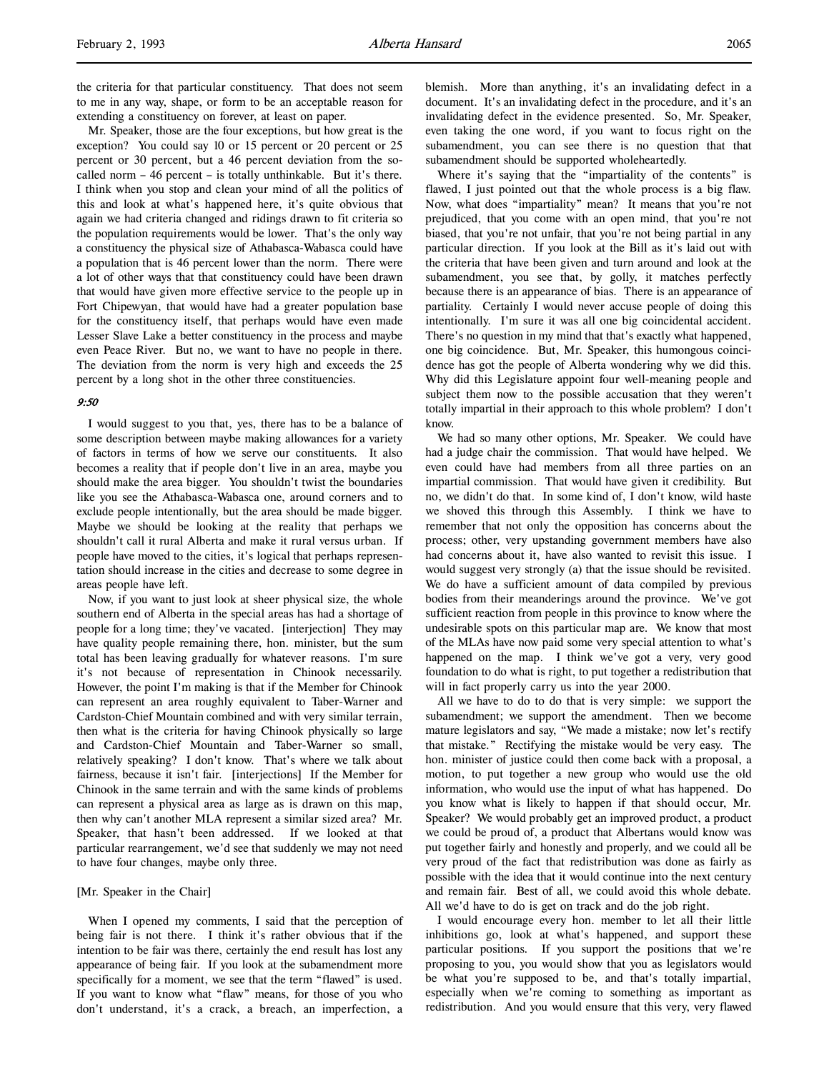Mr. Speaker, those are the four exceptions, but how great is the exception? You could say 10 or 15 percent or 20 percent or 25 percent or 30 percent, but a 46 percent deviation from the socalled norm – 46 percent – is totally unthinkable. But it's there. I think when you stop and clean your mind of all the politics of this and look at what's happened here, it's quite obvious that again we had criteria changed and ridings drawn to fit criteria so the population requirements would be lower. That's the only way a constituency the physical size of Athabasca-Wabasca could have a population that is 46 percent lower than the norm. There were a lot of other ways that that constituency could have been drawn that would have given more effective service to the people up in Fort Chipewyan, that would have had a greater population base for the constituency itself, that perhaps would have even made Lesser Slave Lake a better constituency in the process and maybe even Peace River. But no, we want to have no people in there. The deviation from the norm is very high and exceeds the 25 percent by a long shot in the other three constituencies.

# 9:50

I would suggest to you that, yes, there has to be a balance of some description between maybe making allowances for a variety of factors in terms of how we serve our constituents. It also becomes a reality that if people don't live in an area, maybe you should make the area bigger. You shouldn't twist the boundaries like you see the Athabasca-Wabasca one, around corners and to exclude people intentionally, but the area should be made bigger. Maybe we should be looking at the reality that perhaps we shouldn't call it rural Alberta and make it rural versus urban. If people have moved to the cities, it's logical that perhaps representation should increase in the cities and decrease to some degree in areas people have left.

Now, if you want to just look at sheer physical size, the whole southern end of Alberta in the special areas has had a shortage of people for a long time; they've vacated. [interjection] They may have quality people remaining there, hon. minister, but the sum total has been leaving gradually for whatever reasons. I'm sure it's not because of representation in Chinook necessarily. However, the point I'm making is that if the Member for Chinook can represent an area roughly equivalent to Taber-Warner and Cardston-Chief Mountain combined and with very similar terrain, then what is the criteria for having Chinook physically so large and Cardston-Chief Mountain and Taber-Warner so small, relatively speaking? I don't know. That's where we talk about fairness, because it isn't fair. [interjections] If the Member for Chinook in the same terrain and with the same kinds of problems can represent a physical area as large as is drawn on this map, then why can't another MLA represent a similar sized area? Mr. Speaker, that hasn't been addressed. If we looked at that particular rearrangement, we'd see that suddenly we may not need to have four changes, maybe only three.

# [Mr. Speaker in the Chair]

When I opened my comments, I said that the perception of being fair is not there. I think it's rather obvious that if the intention to be fair was there, certainly the end result has lost any appearance of being fair. If you look at the subamendment more specifically for a moment, we see that the term "flawed" is used. If you want to know what "flaw" means, for those of you who don't understand, it's a crack, a breach, an imperfection, a

blemish. More than anything, it's an invalidating defect in a document. It's an invalidating defect in the procedure, and it's an invalidating defect in the evidence presented. So, Mr. Speaker, even taking the one word, if you want to focus right on the subamendment, you can see there is no question that that subamendment should be supported wholeheartedly.

Where it's saying that the "impartiality of the contents" is flawed, I just pointed out that the whole process is a big flaw. Now, what does "impartiality" mean? It means that you're not prejudiced, that you come with an open mind, that you're not biased, that you're not unfair, that you're not being partial in any particular direction. If you look at the Bill as it's laid out with the criteria that have been given and turn around and look at the subamendment, you see that, by golly, it matches perfectly because there is an appearance of bias. There is an appearance of partiality. Certainly I would never accuse people of doing this intentionally. I'm sure it was all one big coincidental accident. There's no question in my mind that that's exactly what happened, one big coincidence. But, Mr. Speaker, this humongous coincidence has got the people of Alberta wondering why we did this. Why did this Legislature appoint four well-meaning people and subject them now to the possible accusation that they weren't totally impartial in their approach to this whole problem? I don't know.

We had so many other options, Mr. Speaker. We could have had a judge chair the commission. That would have helped. We even could have had members from all three parties on an impartial commission. That would have given it credibility. But no, we didn't do that. In some kind of, I don't know, wild haste we shoved this through this Assembly. I think we have to remember that not only the opposition has concerns about the process; other, very upstanding government members have also had concerns about it, have also wanted to revisit this issue. I would suggest very strongly (a) that the issue should be revisited. We do have a sufficient amount of data compiled by previous bodies from their meanderings around the province. We've got sufficient reaction from people in this province to know where the undesirable spots on this particular map are. We know that most of the MLAs have now paid some very special attention to what's happened on the map. I think we've got a very, very good foundation to do what is right, to put together a redistribution that will in fact properly carry us into the year 2000.

All we have to do to do that is very simple: we support the subamendment; we support the amendment. Then we become mature legislators and say, "We made a mistake; now let's rectify that mistake." Rectifying the mistake would be very easy. The hon. minister of justice could then come back with a proposal, a motion, to put together a new group who would use the old information, who would use the input of what has happened. Do you know what is likely to happen if that should occur, Mr. Speaker? We would probably get an improved product, a product we could be proud of, a product that Albertans would know was put together fairly and honestly and properly, and we could all be very proud of the fact that redistribution was done as fairly as possible with the idea that it would continue into the next century and remain fair. Best of all, we could avoid this whole debate. All we'd have to do is get on track and do the job right.

I would encourage every hon. member to let all their little inhibitions go, look at what's happened, and support these particular positions. If you support the positions that we're proposing to you, you would show that you as legislators would be what you're supposed to be, and that's totally impartial, especially when we're coming to something as important as redistribution. And you would ensure that this very, very flawed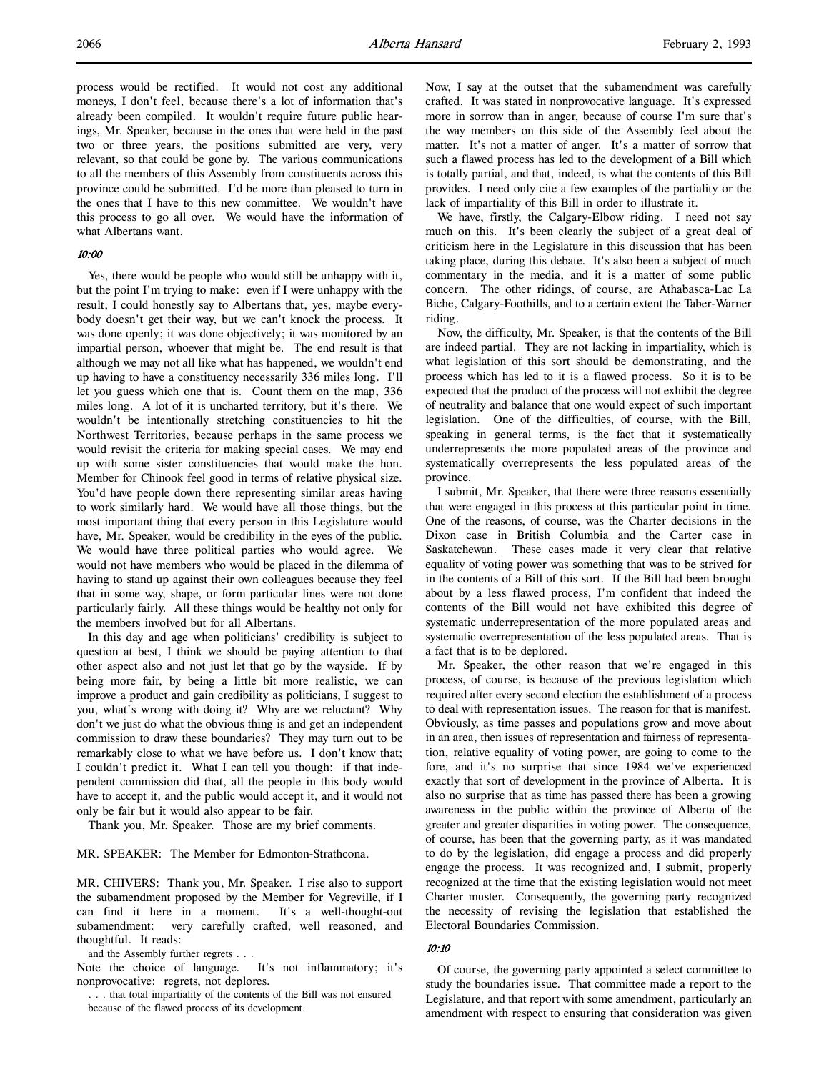process would be rectified. It would not cost any additional moneys, I don't feel, because there's a lot of information that's already been compiled. It wouldn't require future public hearings, Mr. Speaker, because in the ones that were held in the past two or three years, the positions submitted are very, very relevant, so that could be gone by. The various communications to all the members of this Assembly from constituents across this province could be submitted. I'd be more than pleased to turn in the ones that I have to this new committee. We wouldn't have this process to go all over. We would have the information of what Albertans want.

# 10:00

Yes, there would be people who would still be unhappy with it, but the point I'm trying to make: even if I were unhappy with the result, I could honestly say to Albertans that, yes, maybe everybody doesn't get their way, but we can't knock the process. It was done openly; it was done objectively; it was monitored by an impartial person, whoever that might be. The end result is that although we may not all like what has happened, we wouldn't end up having to have a constituency necessarily 336 miles long. I'll let you guess which one that is. Count them on the map, 336 miles long. A lot of it is uncharted territory, but it's there. We wouldn't be intentionally stretching constituencies to hit the Northwest Territories, because perhaps in the same process we would revisit the criteria for making special cases. We may end up with some sister constituencies that would make the hon. Member for Chinook feel good in terms of relative physical size. You'd have people down there representing similar areas having to work similarly hard. We would have all those things, but the most important thing that every person in this Legislature would have, Mr. Speaker, would be credibility in the eyes of the public. We would have three political parties who would agree. We would not have members who would be placed in the dilemma of having to stand up against their own colleagues because they feel that in some way, shape, or form particular lines were not done particularly fairly. All these things would be healthy not only for the members involved but for all Albertans.

In this day and age when politicians' credibility is subject to question at best, I think we should be paying attention to that other aspect also and not just let that go by the wayside. If by being more fair, by being a little bit more realistic, we can improve a product and gain credibility as politicians, I suggest to you, what's wrong with doing it? Why are we reluctant? Why don't we just do what the obvious thing is and get an independent commission to draw these boundaries? They may turn out to be remarkably close to what we have before us. I don't know that; I couldn't predict it. What I can tell you though: if that independent commission did that, all the people in this body would have to accept it, and the public would accept it, and it would not only be fair but it would also appear to be fair.

Thank you, Mr. Speaker. Those are my brief comments.

MR. SPEAKER: The Member for Edmonton-Strathcona.

MR. CHIVERS: Thank you, Mr. Speaker. I rise also to support the subamendment proposed by the Member for Vegreville, if I can find it here in a moment. It's a well-thought-out subamendment: very carefully crafted, well reasoned, and thoughtful. It reads:

and the Assembly further regrets . . .

Note the choice of language. It's not inflammatory; it's nonprovocative: regrets, not deplores.

. . . that total impartiality of the contents of the Bill was not ensured because of the flawed process of its development.

Now, I say at the outset that the subamendment was carefully crafted. It was stated in nonprovocative language. It's expressed more in sorrow than in anger, because of course I'm sure that's the way members on this side of the Assembly feel about the matter. It's not a matter of anger. It's a matter of sorrow that such a flawed process has led to the development of a Bill which is totally partial, and that, indeed, is what the contents of this Bill provides. I need only cite a few examples of the partiality or the lack of impartiality of this Bill in order to illustrate it.

We have, firstly, the Calgary-Elbow riding. I need not say much on this. It's been clearly the subject of a great deal of criticism here in the Legislature in this discussion that has been taking place, during this debate. It's also been a subject of much commentary in the media, and it is a matter of some public concern. The other ridings, of course, are Athabasca-Lac La Biche, Calgary-Foothills, and to a certain extent the Taber-Warner riding.

Now, the difficulty, Mr. Speaker, is that the contents of the Bill are indeed partial. They are not lacking in impartiality, which is what legislation of this sort should be demonstrating, and the process which has led to it is a flawed process. So it is to be expected that the product of the process will not exhibit the degree of neutrality and balance that one would expect of such important legislation. One of the difficulties, of course, with the Bill, speaking in general terms, is the fact that it systematically underrepresents the more populated areas of the province and systematically overrepresents the less populated areas of the province.

I submit, Mr. Speaker, that there were three reasons essentially that were engaged in this process at this particular point in time. One of the reasons, of course, was the Charter decisions in the Dixon case in British Columbia and the Carter case in Saskatchewan. These cases made it very clear that relative equality of voting power was something that was to be strived for in the contents of a Bill of this sort. If the Bill had been brought about by a less flawed process, I'm confident that indeed the contents of the Bill would not have exhibited this degree of systematic underrepresentation of the more populated areas and systematic overrepresentation of the less populated areas. That is a fact that is to be deplored.

Mr. Speaker, the other reason that we're engaged in this process, of course, is because of the previous legislation which required after every second election the establishment of a process to deal with representation issues. The reason for that is manifest. Obviously, as time passes and populations grow and move about in an area, then issues of representation and fairness of representation, relative equality of voting power, are going to come to the fore, and it's no surprise that since 1984 we've experienced exactly that sort of development in the province of Alberta. It is also no surprise that as time has passed there has been a growing awareness in the public within the province of Alberta of the greater and greater disparities in voting power. The consequence, of course, has been that the governing party, as it was mandated to do by the legislation, did engage a process and did properly engage the process. It was recognized and, I submit, properly recognized at the time that the existing legislation would not meet Charter muster. Consequently, the governing party recognized the necessity of revising the legislation that established the Electoral Boundaries Commission.

### 10:10

Of course, the governing party appointed a select committee to study the boundaries issue. That committee made a report to the Legislature, and that report with some amendment, particularly an amendment with respect to ensuring that consideration was given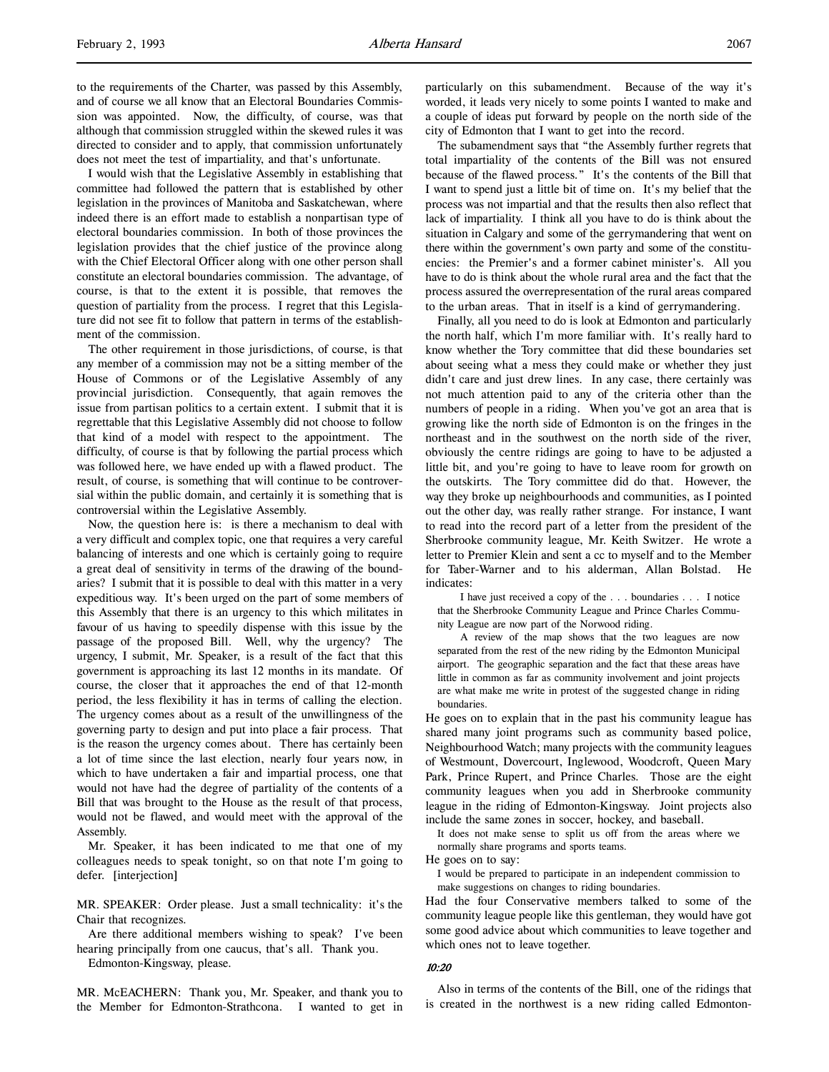to the requirements of the Charter, was passed by this Assembly, and of course we all know that an Electoral Boundaries Commission was appointed. Now, the difficulty, of course, was that although that commission struggled within the skewed rules it was directed to consider and to apply, that commission unfortunately does not meet the test of impartiality, and that's unfortunate.

I would wish that the Legislative Assembly in establishing that committee had followed the pattern that is established by other legislation in the provinces of Manitoba and Saskatchewan, where indeed there is an effort made to establish a nonpartisan type of electoral boundaries commission. In both of those provinces the legislation provides that the chief justice of the province along with the Chief Electoral Officer along with one other person shall constitute an electoral boundaries commission. The advantage, of course, is that to the extent it is possible, that removes the question of partiality from the process. I regret that this Legislature did not see fit to follow that pattern in terms of the establishment of the commission.

The other requirement in those jurisdictions, of course, is that any member of a commission may not be a sitting member of the House of Commons or of the Legislative Assembly of any provincial jurisdiction. Consequently, that again removes the issue from partisan politics to a certain extent. I submit that it is regrettable that this Legislative Assembly did not choose to follow that kind of a model with respect to the appointment. The difficulty, of course is that by following the partial process which was followed here, we have ended up with a flawed product. The result, of course, is something that will continue to be controversial within the public domain, and certainly it is something that is controversial within the Legislative Assembly.

Now, the question here is: is there a mechanism to deal with a very difficult and complex topic, one that requires a very careful balancing of interests and one which is certainly going to require a great deal of sensitivity in terms of the drawing of the boundaries? I submit that it is possible to deal with this matter in a very expeditious way. It's been urged on the part of some members of this Assembly that there is an urgency to this which militates in favour of us having to speedily dispense with this issue by the passage of the proposed Bill. Well, why the urgency? The urgency, I submit, Mr. Speaker, is a result of the fact that this government is approaching its last 12 months in its mandate. Of course, the closer that it approaches the end of that 12-month period, the less flexibility it has in terms of calling the election. The urgency comes about as a result of the unwillingness of the governing party to design and put into place a fair process. That is the reason the urgency comes about. There has certainly been a lot of time since the last election, nearly four years now, in which to have undertaken a fair and impartial process, one that would not have had the degree of partiality of the contents of a Bill that was brought to the House as the result of that process, would not be flawed, and would meet with the approval of the Assembly.

Mr. Speaker, it has been indicated to me that one of my colleagues needs to speak tonight, so on that note I'm going to defer. [interjection]

MR. SPEAKER: Order please. Just a small technicality: it's the Chair that recognizes.

Are there additional members wishing to speak? I've been hearing principally from one caucus, that's all. Thank you.

Edmonton-Kingsway, please.

MR. McEACHERN: Thank you, Mr. Speaker, and thank you to the Member for Edmonton-Strathcona. I wanted to get in particularly on this subamendment. Because of the way it's worded, it leads very nicely to some points I wanted to make and a couple of ideas put forward by people on the north side of the city of Edmonton that I want to get into the record.

The subamendment says that "the Assembly further regrets that total impartiality of the contents of the Bill was not ensured because of the flawed process." It's the contents of the Bill that I want to spend just a little bit of time on. It's my belief that the process was not impartial and that the results then also reflect that lack of impartiality. I think all you have to do is think about the situation in Calgary and some of the gerrymandering that went on there within the government's own party and some of the constituencies: the Premier's and a former cabinet minister's. All you have to do is think about the whole rural area and the fact that the process assured the overrepresentation of the rural areas compared to the urban areas. That in itself is a kind of gerrymandering.

Finally, all you need to do is look at Edmonton and particularly the north half, which I'm more familiar with. It's really hard to know whether the Tory committee that did these boundaries set about seeing what a mess they could make or whether they just didn't care and just drew lines. In any case, there certainly was not much attention paid to any of the criteria other than the numbers of people in a riding. When you've got an area that is growing like the north side of Edmonton is on the fringes in the northeast and in the southwest on the north side of the river, obviously the centre ridings are going to have to be adjusted a little bit, and you're going to have to leave room for growth on the outskirts. The Tory committee did do that. However, the way they broke up neighbourhoods and communities, as I pointed out the other day, was really rather strange. For instance, I want to read into the record part of a letter from the president of the Sherbrooke community league, Mr. Keith Switzer. He wrote a letter to Premier Klein and sent a cc to myself and to the Member for Taber-Warner and to his alderman, Allan Bolstad. He indicates:

I have just received a copy of the . . . boundaries . . . I notice that the Sherbrooke Community League and Prince Charles Community League are now part of the Norwood riding.

A review of the map shows that the two leagues are now separated from the rest of the new riding by the Edmonton Municipal airport. The geographic separation and the fact that these areas have little in common as far as community involvement and joint projects are what make me write in protest of the suggested change in riding boundaries.

He goes on to explain that in the past his community league has shared many joint programs such as community based police, Neighbourhood Watch; many projects with the community leagues of Westmount, Dovercourt, Inglewood, Woodcroft, Queen Mary Park, Prince Rupert, and Prince Charles. Those are the eight community leagues when you add in Sherbrooke community league in the riding of Edmonton-Kingsway. Joint projects also include the same zones in soccer, hockey, and baseball.

It does not make sense to split us off from the areas where we normally share programs and sports teams.

He goes on to say:

I would be prepared to participate in an independent commission to make suggestions on changes to riding boundaries.

Had the four Conservative members talked to some of the community league people like this gentleman, they would have got some good advice about which communities to leave together and which ones not to leave together.

#### 10:20

Also in terms of the contents of the Bill, one of the ridings that is created in the northwest is a new riding called Edmonton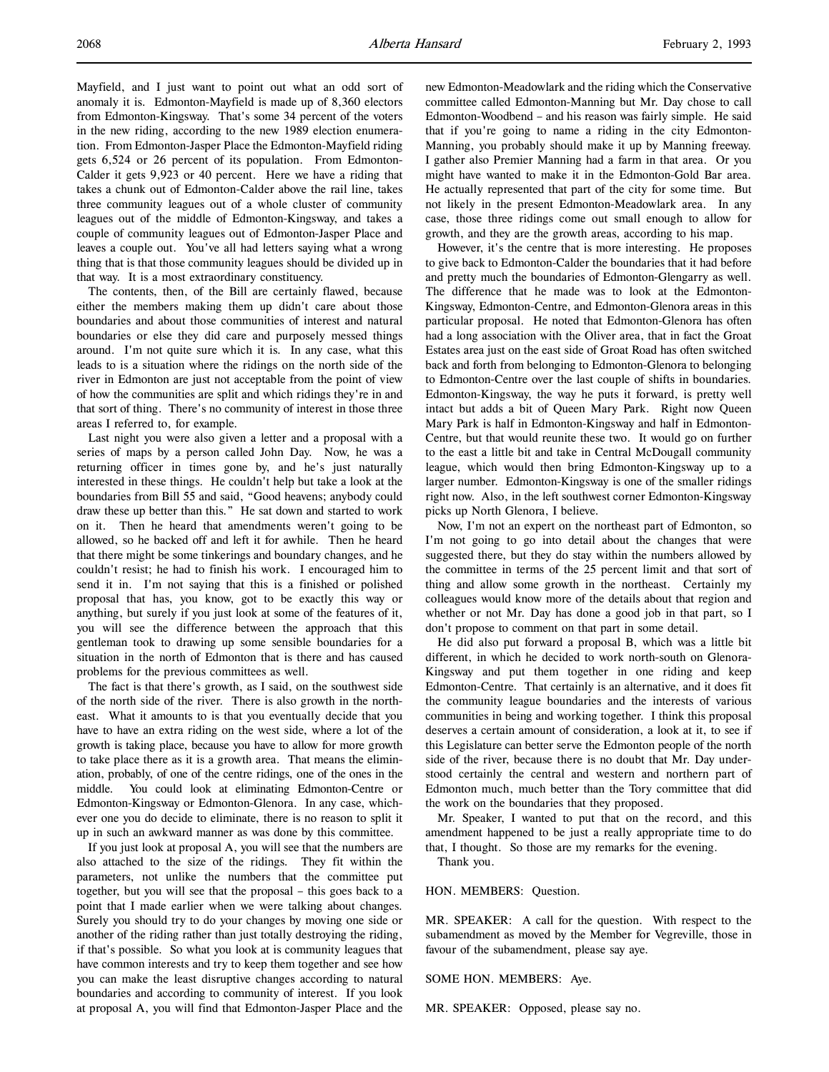Mayfield, and I just want to point out what an odd sort of anomaly it is. Edmonton-Mayfield is made up of 8,360 electors from Edmonton-Kingsway. That's some 34 percent of the voters in the new riding, according to the new 1989 election enumeration. From Edmonton-Jasper Place the Edmonton-Mayfield riding gets 6,524 or 26 percent of its population. From Edmonton-Calder it gets 9,923 or 40 percent. Here we have a riding that takes a chunk out of Edmonton-Calder above the rail line, takes three community leagues out of a whole cluster of community leagues out of the middle of Edmonton-Kingsway, and takes a couple of community leagues out of Edmonton-Jasper Place and leaves a couple out. You've all had letters saying what a wrong thing that is that those community leagues should be divided up in that way. It is a most extraordinary constituency.

The contents, then, of the Bill are certainly flawed, because either the members making them up didn't care about those boundaries and about those communities of interest and natural boundaries or else they did care and purposely messed things around. I'm not quite sure which it is. In any case, what this leads to is a situation where the ridings on the north side of the river in Edmonton are just not acceptable from the point of view of how the communities are split and which ridings they're in and that sort of thing. There's no community of interest in those three areas I referred to, for example.

Last night you were also given a letter and a proposal with a series of maps by a person called John Day. Now, he was a returning officer in times gone by, and he's just naturally interested in these things. He couldn't help but take a look at the boundaries from Bill 55 and said, "Good heavens; anybody could draw these up better than this." He sat down and started to work on it. Then he heard that amendments weren't going to be allowed, so he backed off and left it for awhile. Then he heard that there might be some tinkerings and boundary changes, and he couldn't resist; he had to finish his work. I encouraged him to send it in. I'm not saying that this is a finished or polished proposal that has, you know, got to be exactly this way or anything, but surely if you just look at some of the features of it, you will see the difference between the approach that this gentleman took to drawing up some sensible boundaries for a situation in the north of Edmonton that is there and has caused problems for the previous committees as well.

The fact is that there's growth, as I said, on the southwest side of the north side of the river. There is also growth in the northeast. What it amounts to is that you eventually decide that you have to have an extra riding on the west side, where a lot of the growth is taking place, because you have to allow for more growth to take place there as it is a growth area. That means the elimination, probably, of one of the centre ridings, one of the ones in the middle. You could look at eliminating Edmonton-Centre or Edmonton-Kingsway or Edmonton-Glenora. In any case, whichever one you do decide to eliminate, there is no reason to split it up in such an awkward manner as was done by this committee.

If you just look at proposal A, you will see that the numbers are also attached to the size of the ridings. They fit within the parameters, not unlike the numbers that the committee put together, but you will see that the proposal – this goes back to a point that I made earlier when we were talking about changes. Surely you should try to do your changes by moving one side or another of the riding rather than just totally destroying the riding, if that's possible. So what you look at is community leagues that have common interests and try to keep them together and see how you can make the least disruptive changes according to natural boundaries and according to community of interest. If you look at proposal A, you will find that Edmonton-Jasper Place and the

new Edmonton-Meadowlark and the riding which the Conservative committee called Edmonton-Manning but Mr. Day chose to call Edmonton-Woodbend – and his reason was fairly simple. He said that if you're going to name a riding in the city Edmonton-Manning, you probably should make it up by Manning freeway. I gather also Premier Manning had a farm in that area. Or you might have wanted to make it in the Edmonton-Gold Bar area. He actually represented that part of the city for some time. But not likely in the present Edmonton-Meadowlark area. In any case, those three ridings come out small enough to allow for growth, and they are the growth areas, according to his map.

However, it's the centre that is more interesting. He proposes to give back to Edmonton-Calder the boundaries that it had before and pretty much the boundaries of Edmonton-Glengarry as well. The difference that he made was to look at the Edmonton-Kingsway, Edmonton-Centre, and Edmonton-Glenora areas in this particular proposal. He noted that Edmonton-Glenora has often had a long association with the Oliver area, that in fact the Groat Estates area just on the east side of Groat Road has often switched back and forth from belonging to Edmonton-Glenora to belonging to Edmonton-Centre over the last couple of shifts in boundaries. Edmonton-Kingsway, the way he puts it forward, is pretty well intact but adds a bit of Queen Mary Park. Right now Queen Mary Park is half in Edmonton-Kingsway and half in Edmonton-Centre, but that would reunite these two. It would go on further to the east a little bit and take in Central McDougall community league, which would then bring Edmonton-Kingsway up to a larger number. Edmonton-Kingsway is one of the smaller ridings right now. Also, in the left southwest corner Edmonton-Kingsway picks up North Glenora, I believe.

Now, I'm not an expert on the northeast part of Edmonton, so I'm not going to go into detail about the changes that were suggested there, but they do stay within the numbers allowed by the committee in terms of the 25 percent limit and that sort of thing and allow some growth in the northeast. Certainly my colleagues would know more of the details about that region and whether or not Mr. Day has done a good job in that part, so I don't propose to comment on that part in some detail.

He did also put forward a proposal B, which was a little bit different, in which he decided to work north-south on Glenora-Kingsway and put them together in one riding and keep Edmonton-Centre. That certainly is an alternative, and it does fit the community league boundaries and the interests of various communities in being and working together. I think this proposal deserves a certain amount of consideration, a look at it, to see if this Legislature can better serve the Edmonton people of the north side of the river, because there is no doubt that Mr. Day understood certainly the central and western and northern part of Edmonton much, much better than the Tory committee that did the work on the boundaries that they proposed.

Mr. Speaker, I wanted to put that on the record, and this amendment happened to be just a really appropriate time to do that, I thought. So those are my remarks for the evening.

Thank you.

# HON. MEMBERS: Question.

MR. SPEAKER: A call for the question. With respect to the subamendment as moved by the Member for Vegreville, those in favour of the subamendment, please say aye.

### SOME HON. MEMBERS: Aye.

MR. SPEAKER: Opposed, please say no.